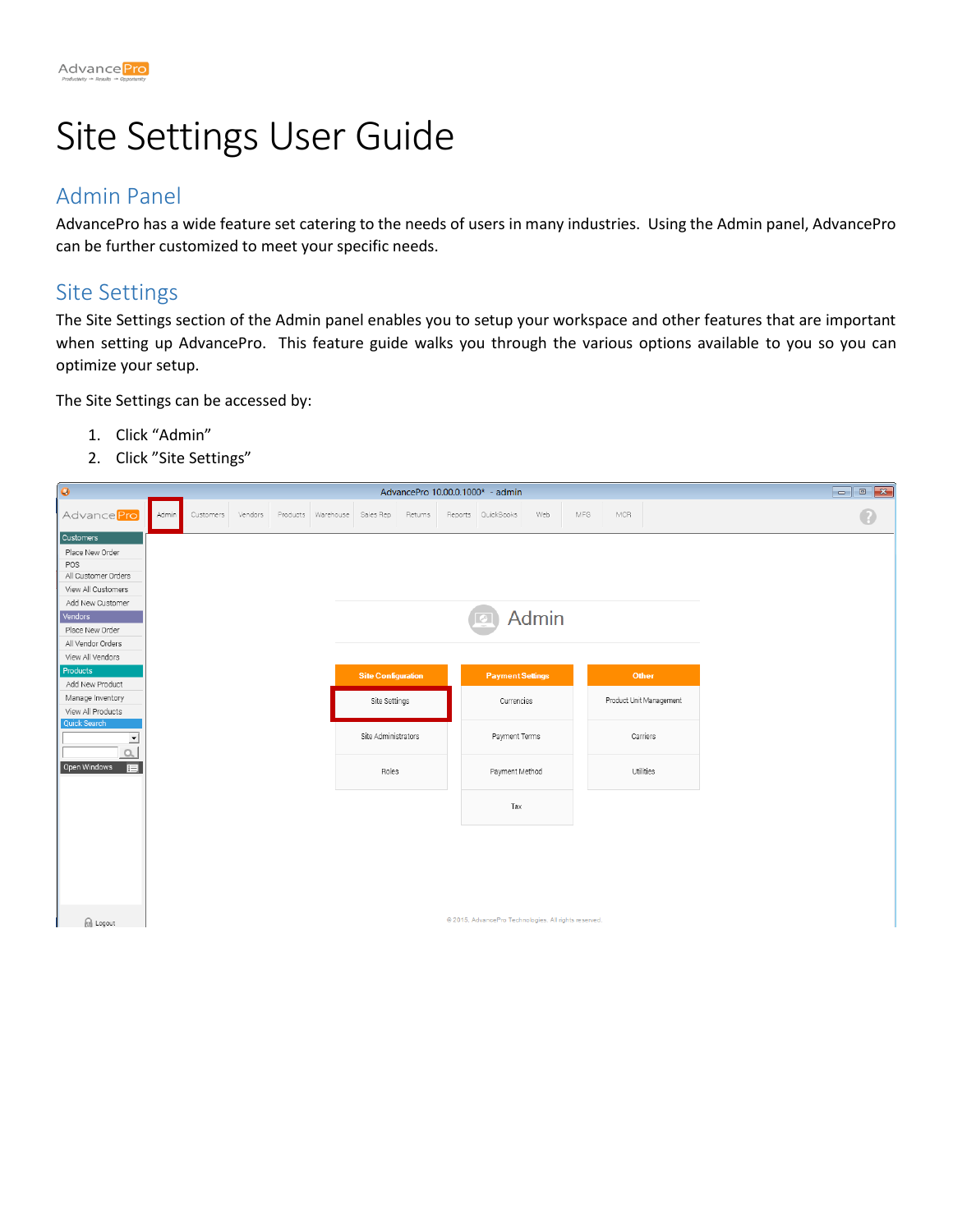

# Site Settings User Guide

## Admin Panel

AdvancePro has a wide feature set catering to the needs of users in many industries. Using the Admin panel, AdvancePro can be further customized to meet your specific needs.

#### Site Settings

The Site Settings section of the Admin panel enables you to setup your workspace and other features that are important when setting up AdvancePro. This feature guide walks you through the various options available to you so you can optimize your setup.

The Site Settings can be accessed by:

- 1. Click "Admin"
- 2. Click "Site Settings"

| $\bullet$                                                                                                                                               | AdvancePro 10.00.0.1000* - admin |           |         |  |                              |                                            |         |  |                                                       |              |     |     |                                  |  |  |           |
|---------------------------------------------------------------------------------------------------------------------------------------------------------|----------------------------------|-----------|---------|--|------------------------------|--------------------------------------------|---------|--|-------------------------------------------------------|--------------|-----|-----|----------------------------------|--|--|-----------|
| Advance Pro                                                                                                                                             | Admin                            | Customers | Vendors |  | Products Warehouse Sales Rep |                                            | Returns |  | Reports QuickBooks                                    | Web          | MFG | MCR |                                  |  |  | $\bullet$ |
| Customers<br>Place New Order<br>POS<br>All Customer Orders<br>View All Customers<br>Add New Customer<br>Vendors<br>Place New Order<br>All Vendor Orders |                                  |           |         |  |                              |                                            |         |  |                                                       | <b>Admin</b> |     |     |                                  |  |  |           |
| View All Vendors<br>Products<br>Add New Product<br>Manage Inventory<br>View All Products                                                                |                                  |           |         |  |                              | <b>Site Configuration</b><br>Site Settings |         |  | <b>Payment Settings</b><br>Currencies                 |              |     |     | Other<br>Product Unit Management |  |  |           |
| Quick Search<br>≛                                                                                                                                       |                                  |           |         |  |                              | Site Administrators                        |         |  | Payment Terms                                         |              |     |     | Carriers                         |  |  |           |
| Open Windows<br>目                                                                                                                                       |                                  |           |         |  |                              | Roles                                      |         |  | Payment Method                                        |              |     |     | Utilities                        |  |  |           |
|                                                                                                                                                         |                                  |           |         |  |                              |                                            |         |  | Tax                                                   |              |     |     |                                  |  |  |           |
|                                                                                                                                                         |                                  |           |         |  |                              |                                            |         |  |                                                       |              |     |     |                                  |  |  |           |
| a Logout                                                                                                                                                |                                  |           |         |  |                              |                                            |         |  | @ 2015, AdvancePro Technologies. All rights reserved. |              |     |     |                                  |  |  |           |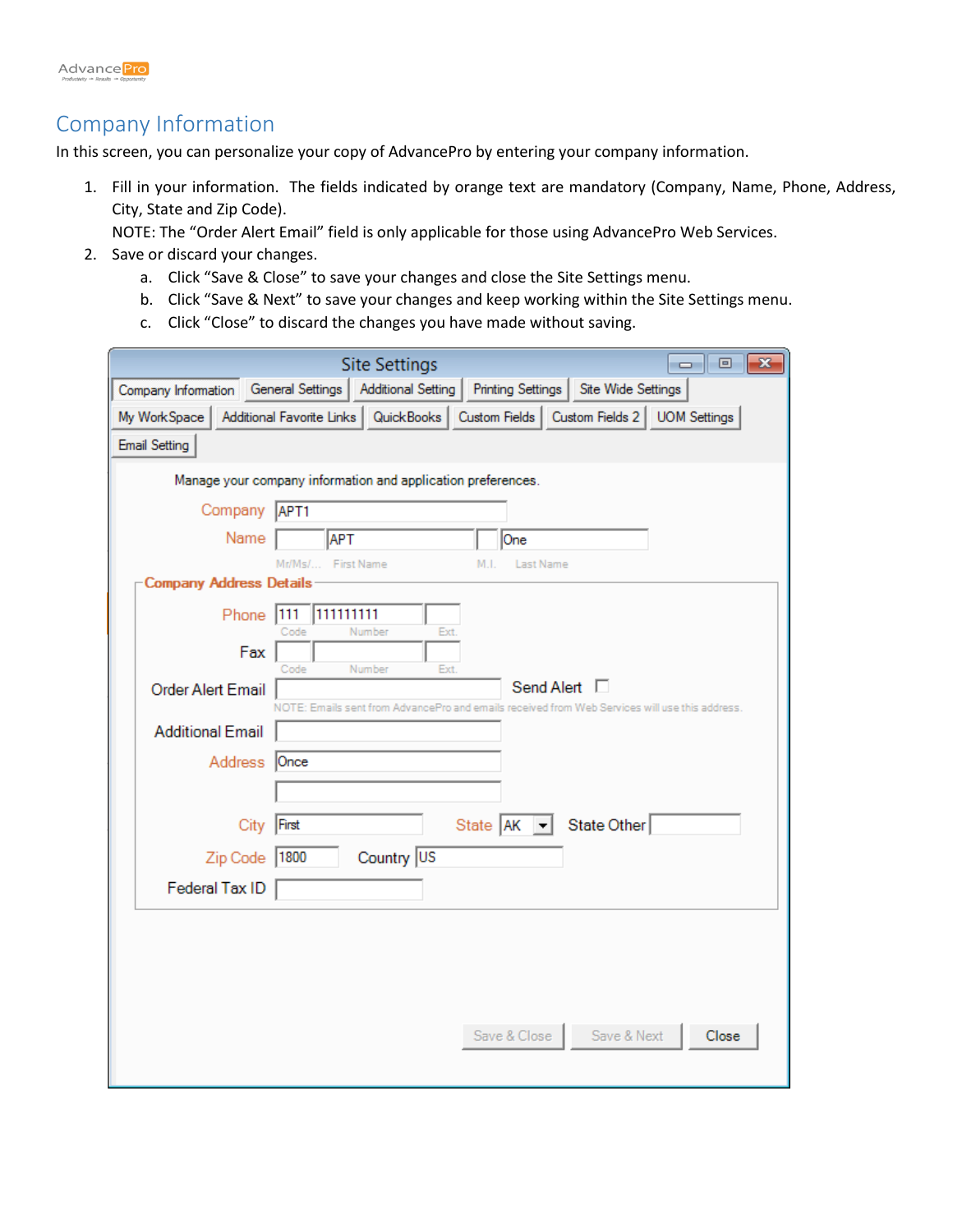

## Company Information

In this screen, you can personalize your copy of AdvancePro by entering your company information.

- 1. Fill in your information. The fields indicated by orange text are mandatory (Company, Name, Phone, Address, City, State and Zip Code).
	- NOTE: The "Order Alert Email" field is only applicable for those using AdvancePro Web Services.
- 2. Save or discard your changes.
	- a. Click "Save & Close" to save your changes and close the Site Settings menu.
	- b. Click "Save & Next" to save your changes and keep working within the Site Settings menu.
	- c. Click "Close" to discard the changes you have made without saving.

|                                | <b>Site Settings</b><br>$\mathbf{z}$<br>$\overline{\phantom{a}}$ $\overline{\phantom{a}}$                |
|--------------------------------|----------------------------------------------------------------------------------------------------------|
|                                | Site Wide Settings<br>Company Information   General Settings   Additional Setting  <br>Printing Settings |
|                                | My WorkSpace   Additional Favorite Links   QuickBooks   Custom Fields   Custom Fields 2   UOM Settings   |
| <b>Email Setting</b>           |                                                                                                          |
|                                | Manage your company information and application preferences.                                             |
| Company APT1                   |                                                                                                          |
| Name                           | <b>APT</b><br>One                                                                                        |
|                                | <b>First Name</b><br>Last Name<br>Mr/Ms/L<br>M.L                                                         |
| <b>Company Address Details</b> |                                                                                                          |
| Phone                          | 111111111<br> 111<br>Ext.<br>Number<br>Code                                                              |
| Fax                            |                                                                                                          |
| Order Alert Email              | Code<br>Number<br>Ext.<br>Send Alert □                                                                   |
|                                | NOTE: Emails sent from AdvancePro and emails received from Web Services will use this address.           |
| <b>Additional Email</b>        |                                                                                                          |
| Address Once                   |                                                                                                          |
|                                |                                                                                                          |
| City                           | State AK - State Other<br>First                                                                          |
| Zip Code   1800                | Country US                                                                                               |
| Federal Tax ID                 |                                                                                                          |
|                                |                                                                                                          |
|                                |                                                                                                          |
|                                |                                                                                                          |
|                                |                                                                                                          |
|                                |                                                                                                          |
|                                | Save & Next<br>Save & Close<br>Close                                                                     |
|                                |                                                                                                          |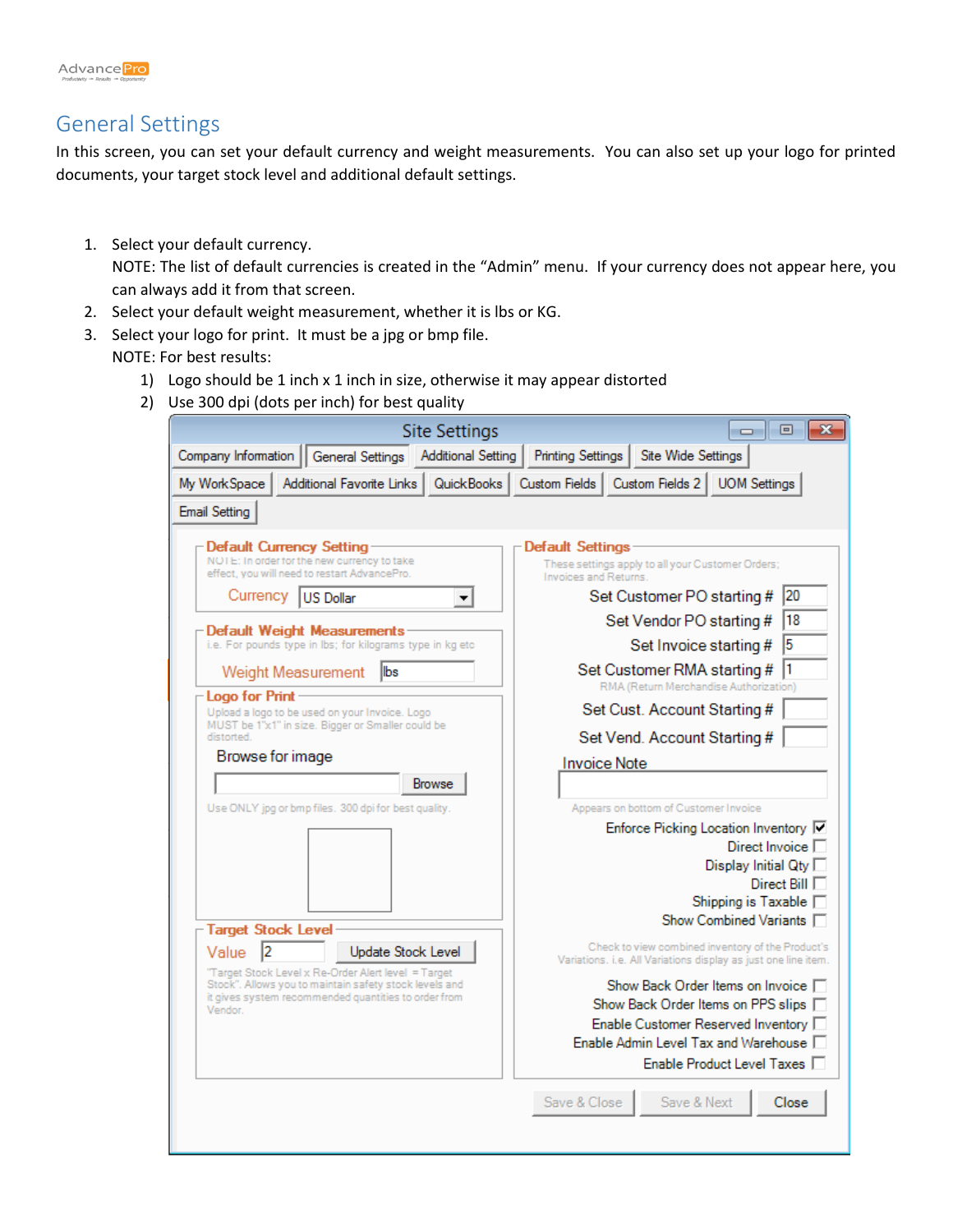

## General Settings

In this screen, you can set your default currency and weight measurements. You can also set up your logo for printed documents, your target stock level and additional default settings.

- 1. Select your default currency. NOTE: The list of default currencies is created in the "Admin" menu. If your currency does not appear here, you can always add it from that screen.
- 2. Select your default weight measurement, whether it is lbs or KG.
- 3. Select your logo for print. It must be a jpg or bmp file.
	- NOTE: For best results:
		- 1) Logo should be 1 inch x 1 inch in size, otherwise it may appear distorted
		- 2) Use 300 dpi (dots per inch) for best quality

| <b>Site Settings</b>                                                                                                    | 冋<br>$\Box$                                                                                                         |
|-------------------------------------------------------------------------------------------------------------------------|---------------------------------------------------------------------------------------------------------------------|
| Company Information<br>General Settings Additional Setting                                                              | Site Wide Settings<br><b>Printing Settings</b>                                                                      |
| Additional Favorite Links   QuickBooks   Custom Fields  <br>My WorkSpace                                                | Custom Fields 2<br><b>UOM Settings</b>                                                                              |
| <b>Email Setting</b>                                                                                                    |                                                                                                                     |
|                                                                                                                         |                                                                                                                     |
| Default Currency Setting<br>NOTE: In order for the new currency to take<br>effect, you will need to restart AdvancePro. | <b>Default Settings</b><br>These settings apply to all your Customer Orders;<br>Invoices and Returns.               |
| Currencv<br><b>IUS Dollar</b><br>▼                                                                                      | 20<br>Set Customer PO starting #                                                                                    |
| Default Weight Measurements                                                                                             | 18<br>Set Vendor PO starting #                                                                                      |
| i.e. For pounds type in Ibs; for kilograms type in kg etc.                                                              | 5<br>Set Invoice starting #                                                                                         |
| <b>lbs</b><br>Weight Measurement                                                                                        | I1<br>Set Customer RMA starting #                                                                                   |
| - Logo for Print                                                                                                        | RMA (Return Merchandise Authorization)                                                                              |
| Upload a logo to be used on your Invoice. Logo<br>MUST be 1"x1" in size. Bigger or Smaller could be                     | Set Cust. Account Starting #                                                                                        |
| distorted.<br>Browse for image                                                                                          | Set Vend. Account Starting #                                                                                        |
|                                                                                                                         | <b>Invoice Note</b>                                                                                                 |
| <b>Browse</b>                                                                                                           |                                                                                                                     |
| Use ONLY jpg or bmp files. 300 dpi for best quality.                                                                    | Appears on bottom of Customer Invoice<br>Enforce Picking Location Inventory <b>V</b>                                |
|                                                                                                                         | Direct Invoice $\Box$                                                                                               |
|                                                                                                                         | Display Initial Qty $\square$                                                                                       |
|                                                                                                                         | Direct Bill $\Gamma$<br>Shipping is Taxable $\Box$                                                                  |
| Target Stock Level                                                                                                      | Show Combined Variants E                                                                                            |
| <b>Update Stock Level</b><br>Value<br>12                                                                                | Check to view combined inventory of the Product's<br>Variations, i.e. All Variations display as just one line item. |
| "Target Stock Level x Re-Order Alert level = Target<br>Stock". Allows you to maintain safety stock levels and           | Show Back Order Items on Invoice □                                                                                  |
| it gives system recommended quantities to order from<br>Vendor.                                                         | Show Back Order Items on PPS slips □                                                                                |
|                                                                                                                         | Enable Customer Reserved Inventory M<br>Enable Admin Level Tax and Warehouse $\Gamma$                               |
|                                                                                                                         | Enable Product Level Taxes                                                                                          |
|                                                                                                                         |                                                                                                                     |
|                                                                                                                         | Save & Close<br>Save & Next<br>Close                                                                                |
|                                                                                                                         |                                                                                                                     |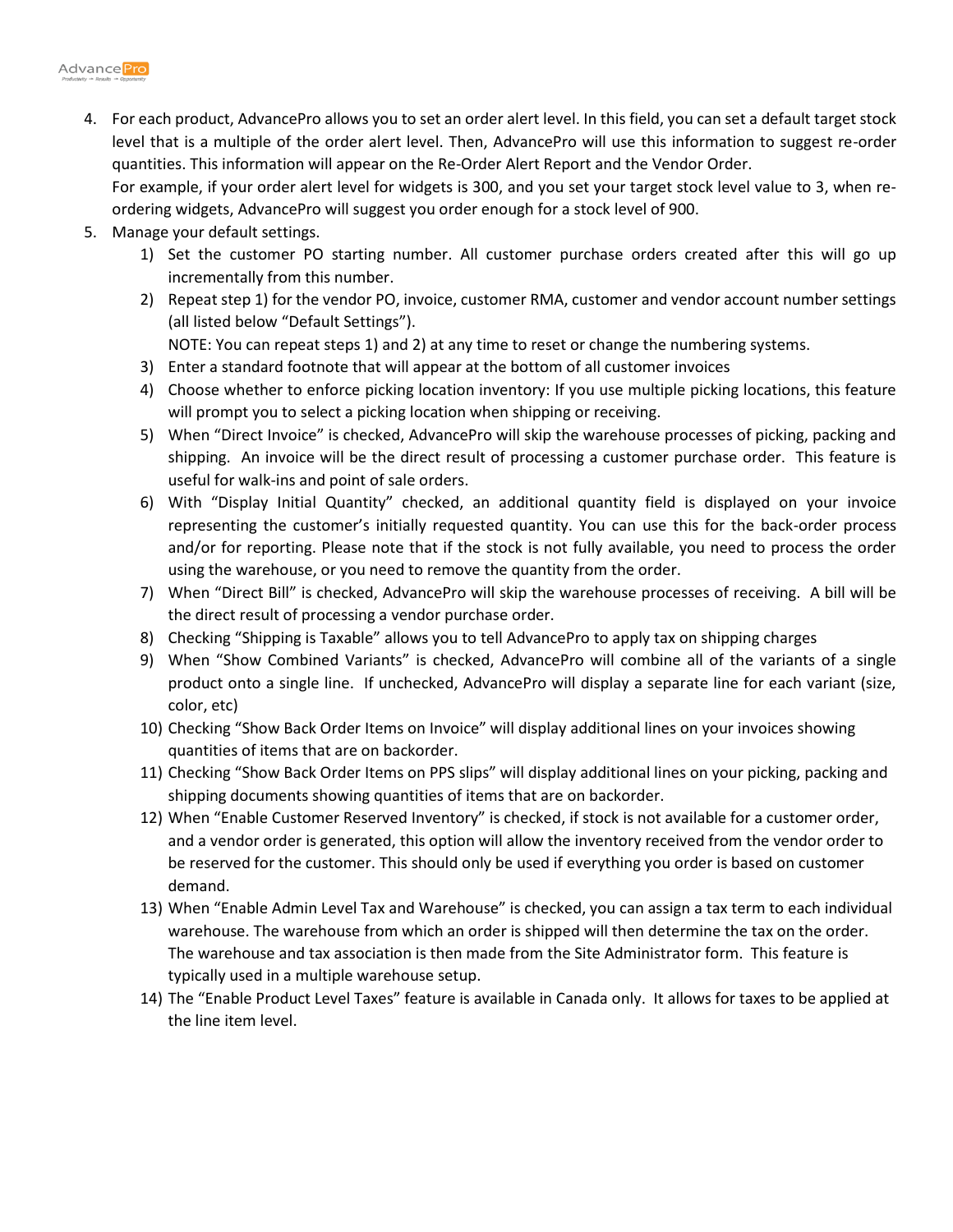4. For each product, AdvancePro allows you to set an order alert level. In this field, you can set a default target stock level that is a multiple of the order alert level. Then, AdvancePro will use this information to suggest re-order quantities. This information will appear on the Re-Order Alert Report and the Vendor Order.

For example, if your order alert level for widgets is 300, and you set your target stock level value to 3, when reordering widgets, AdvancePro will suggest you order enough for a stock level of 900.

- 5. Manage your default settings.
	- 1) Set the customer PO starting number. All customer purchase orders created after this will go up incrementally from this number.
	- 2) Repeat step 1) for the vendor PO, invoice, customer RMA, customer and vendor account number settings (all listed below "Default Settings").

NOTE: You can repeat steps 1) and 2) at any time to reset or change the numbering systems.

- 3) Enter a standard footnote that will appear at the bottom of all customer invoices
- 4) Choose whether to enforce picking location inventory: If you use multiple picking locations, this feature will prompt you to select a picking location when shipping or receiving.
- 5) When "Direct Invoice" is checked, AdvancePro will skip the warehouse processes of picking, packing and shipping. An invoice will be the direct result of processing a customer purchase order. This feature is useful for walk-ins and point of sale orders.
- 6) With "Display Initial Quantity" checked, an additional quantity field is displayed on your invoice representing the customer's initially requested quantity. You can use this for the back-order process and/or for reporting. Please note that if the stock is not fully available, you need to process the order using the warehouse, or you need to remove the quantity from the order.
- 7) When "Direct Bill" is checked, AdvancePro will skip the warehouse processes of receiving. A bill will be the direct result of processing a vendor purchase order.
- 8) Checking "Shipping is Taxable" allows you to tell AdvancePro to apply tax on shipping charges
- 9) When "Show Combined Variants" is checked, AdvancePro will combine all of the variants of a single product onto a single line. If unchecked, AdvancePro will display a separate line for each variant (size, color, etc)
- 10) Checking "Show Back Order Items on Invoice" will display additional lines on your invoices showing quantities of items that are on backorder.
- 11) Checking "Show Back Order Items on PPS slips" will display additional lines on your picking, packing and shipping documents showing quantities of items that are on backorder.
- 12) When "Enable Customer Reserved Inventory" is checked, if stock is not available for a customer order, and a vendor order is generated, this option will allow the inventory received from the vendor order to be reserved for the customer. This should only be used if everything you order is based on customer demand.
- 13) When "Enable Admin Level Tax and Warehouse" is checked, you can assign a tax term to each individual warehouse. The warehouse from which an order is shipped will then determine the tax on the order. The warehouse and tax association is then made from the Site Administrator form. This feature is typically used in a multiple warehouse setup.
- 14) The "Enable Product Level Taxes" feature is available in Canada only. It allows for taxes to be applied at the line item level.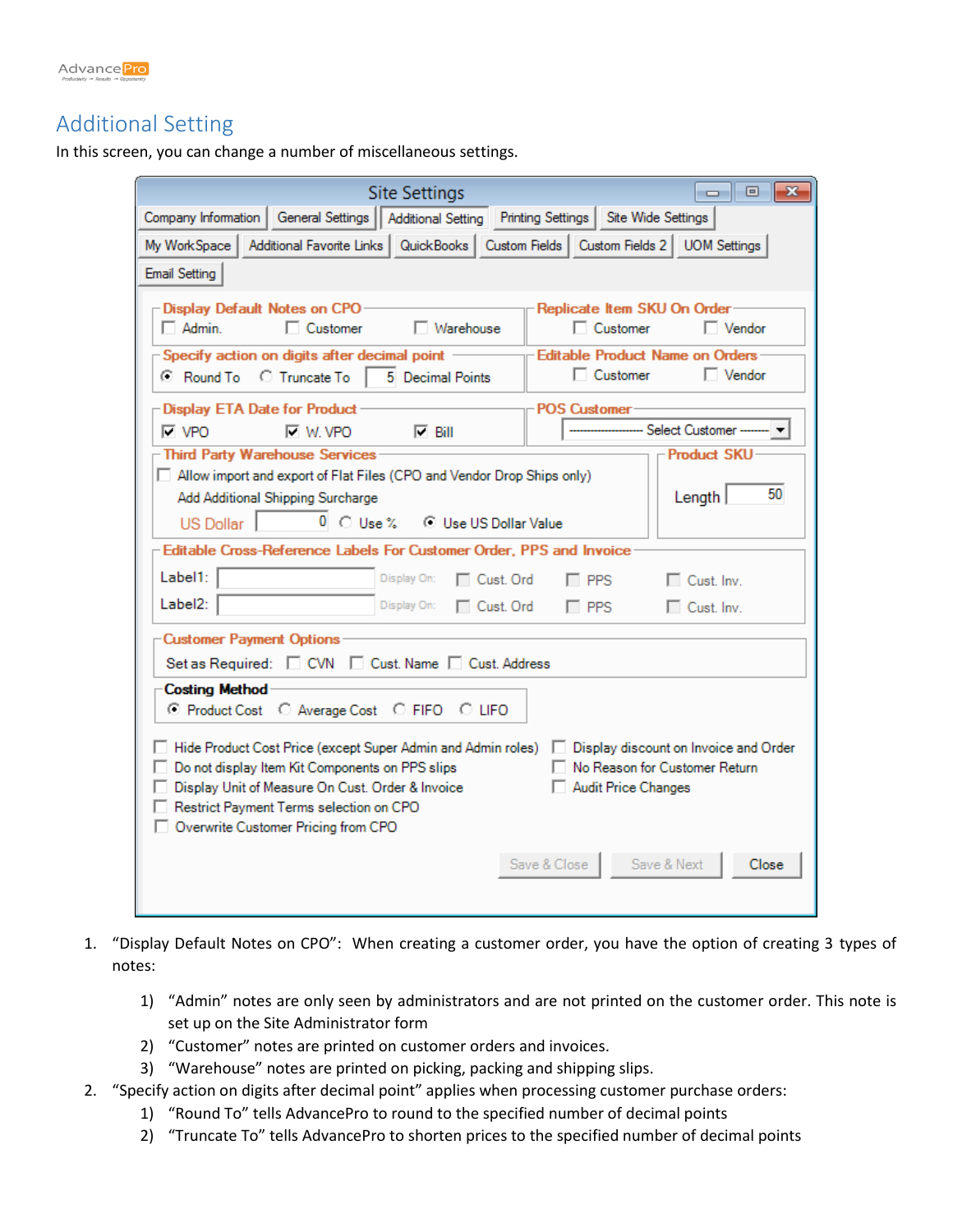

#### Additional Setting

In this screen, you can change a number of miscellaneous settings.



- 1. "Display Default Notes on CPO": When creating a customer order, you have the option of creating 3 types of notes:
	- 1) "Admin" notes are only seen by administrators and are not printed on the customer order. This note is set up on the Site Administrator form
	- 2) "Customer" notes are printed on customer orders and invoices.
	- 3) "Warehouse" notes are printed on picking, packing and shipping slips.
- 2. "Specify action on digits after decimal point" applies when processing customer purchase orders:
	- 1) "Round To" tells AdvancePro to round to the specified number of decimal points
	- 2) "Truncate To" tells AdvancePro to shorten prices to the specified number of decimal points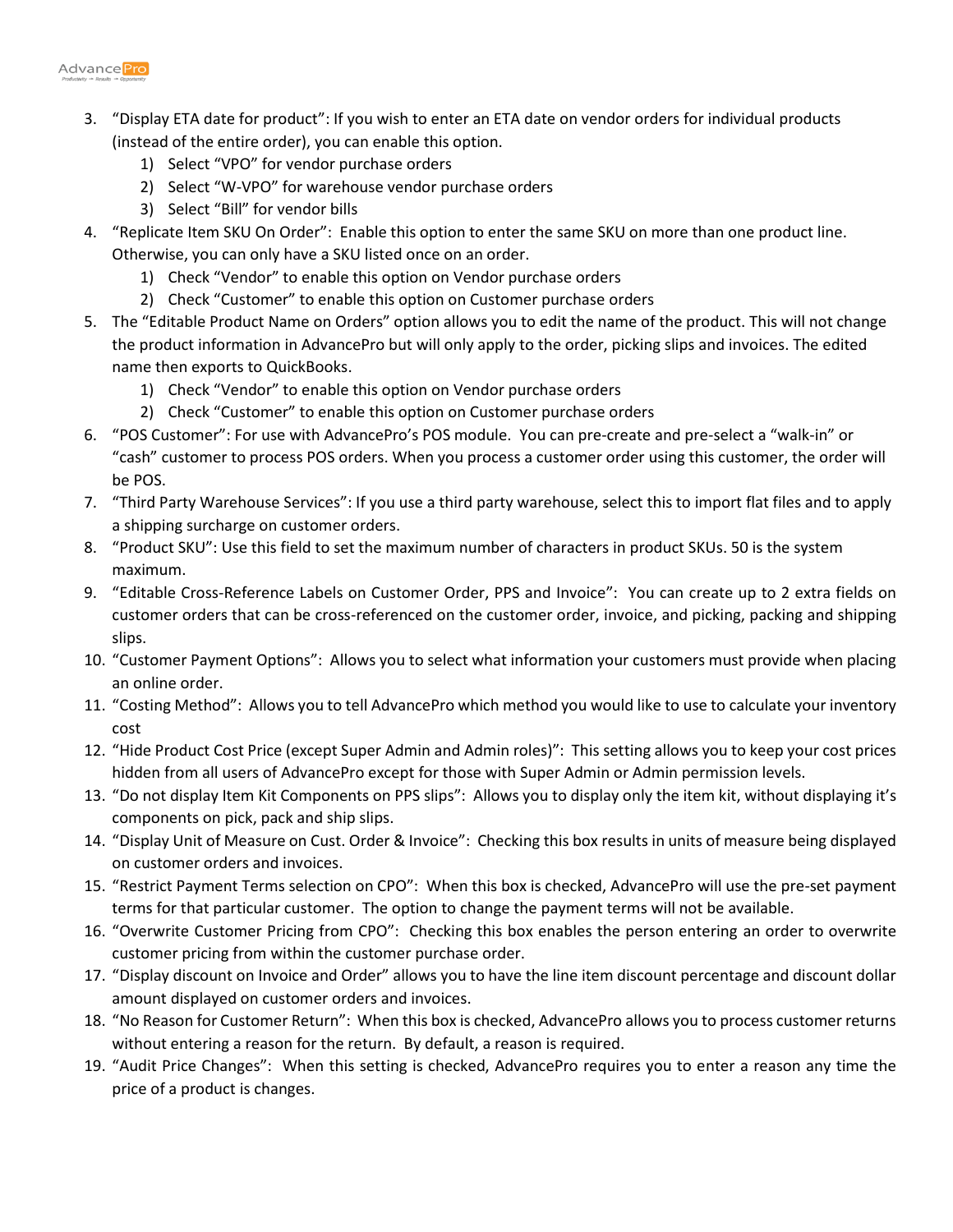

- 3. "Display ETA date for product": If you wish to enter an ETA date on vendor orders for individual products (instead of the entire order), you can enable this option.
	- 1) Select "VPO" for vendor purchase orders
	- 2) Select "W-VPO" for warehouse vendor purchase orders
	- 3) Select "Bill" for vendor bills
- 4. "Replicate Item SKU On Order": Enable this option to enter the same SKU on more than one product line. Otherwise, you can only have a SKU listed once on an order.
	- 1) Check "Vendor" to enable this option on Vendor purchase orders
	- 2) Check "Customer" to enable this option on Customer purchase orders
- 5. The "Editable Product Name on Orders" option allows you to edit the name of the product. This will not change the product information in AdvancePro but will only apply to the order, picking slips and invoices. The edited name then exports to QuickBooks.
	- 1) Check "Vendor" to enable this option on Vendor purchase orders
	- 2) Check "Customer" to enable this option on Customer purchase orders
- 6. "POS Customer": For use with AdvancePro's POS module. You can pre-create and pre-select a "walk-in" or "cash" customer to process POS orders. When you process a customer order using this customer, the order will be POS.
- 7. "Third Party Warehouse Services": If you use a third party warehouse, select this to import flat files and to apply a shipping surcharge on customer orders.
- 8. "Product SKU": Use this field to set the maximum number of characters in product SKUs. 50 is the system maximum.
- 9. "Editable Cross-Reference Labels on Customer Order, PPS and Invoice": You can create up to 2 extra fields on customer orders that can be cross-referenced on the customer order, invoice, and picking, packing and shipping slips.
- 10. "Customer Payment Options": Allows you to select what information your customers must provide when placing an online order.
- 11. "Costing Method": Allows you to tell AdvancePro which method you would like to use to calculate your inventory cost
- 12. "Hide Product Cost Price (except Super Admin and Admin roles)": This setting allows you to keep your cost prices hidden from all users of AdvancePro except for those with Super Admin or Admin permission levels.
- 13. "Do not display Item Kit Components on PPS slips": Allows you to display only the item kit, without displaying it's components on pick, pack and ship slips.
- 14. "Display Unit of Measure on Cust. Order & Invoice": Checking this box results in units of measure being displayed on customer orders and invoices.
- 15. "Restrict Payment Terms selection on CPO": When this box is checked, AdvancePro will use the pre-set payment terms for that particular customer. The option to change the payment terms will not be available.
- 16. "Overwrite Customer Pricing from CPO": Checking this box enables the person entering an order to overwrite customer pricing from within the customer purchase order.
- 17. "Display discount on Invoice and Order" allows you to have the line item discount percentage and discount dollar amount displayed on customer orders and invoices.
- 18. "No Reason for Customer Return": When this box is checked, AdvancePro allows you to process customer returns without entering a reason for the return. By default, a reason is required.
- 19. "Audit Price Changes": When this setting is checked, AdvancePro requires you to enter a reason any time the price of a product is changes.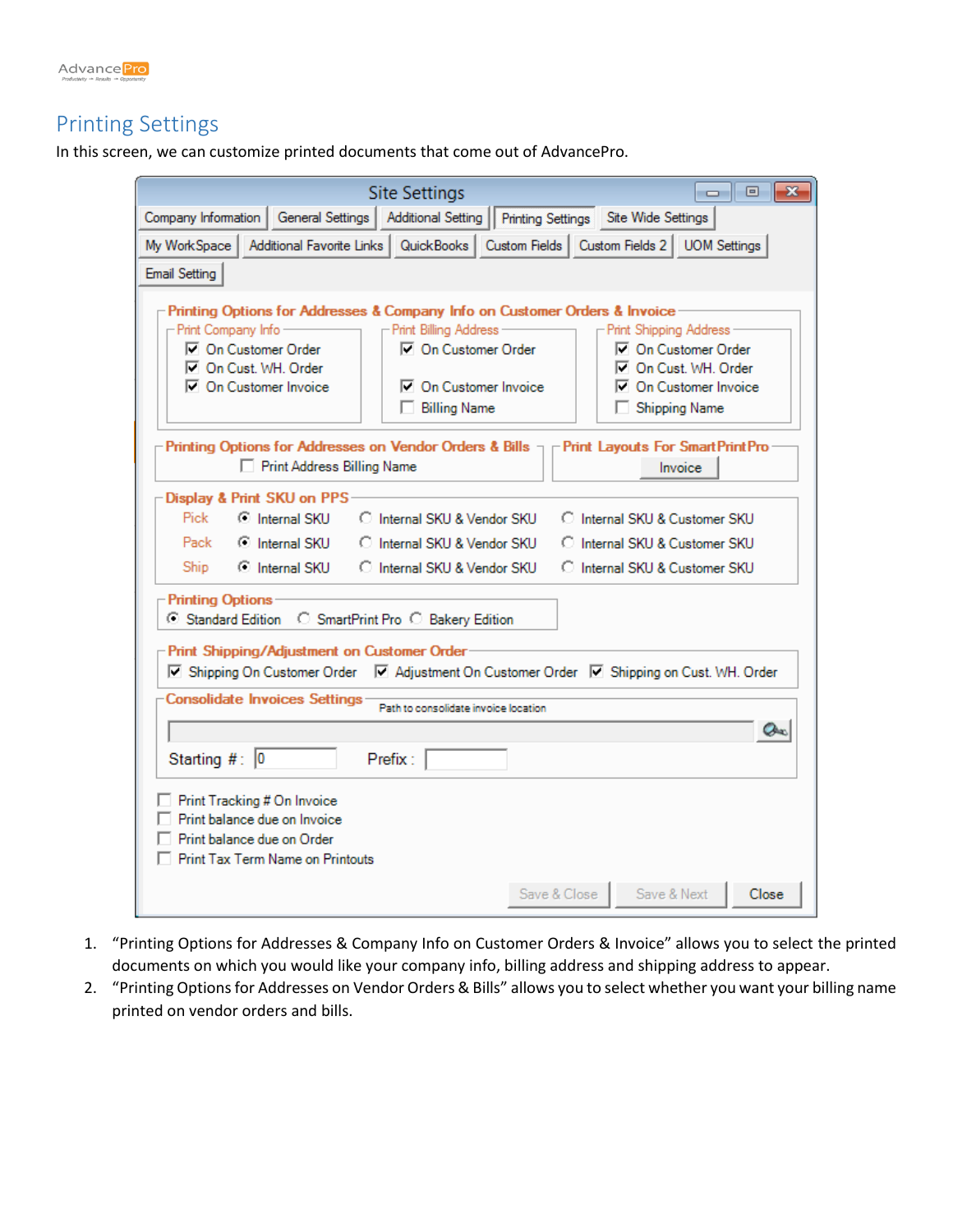

## Printing Settings

In this screen, we can customize printed documents that come out of AdvancePro.

| <b>Site Settings</b>                                                                                                                                                                                                                                                                                  |                                                                                                                      |  |  |  |  |  |  |  |
|-------------------------------------------------------------------------------------------------------------------------------------------------------------------------------------------------------------------------------------------------------------------------------------------------------|----------------------------------------------------------------------------------------------------------------------|--|--|--|--|--|--|--|
| Company Information   General Settings  <br>Additional Setting    Printing Settings                                                                                                                                                                                                                   | Site Wide Settings                                                                                                   |  |  |  |  |  |  |  |
| Additional Favorite Links   QuickBooks   Custom Fields   Custom Fields 2   UOM Settings<br>My WorkSpace                                                                                                                                                                                               |                                                                                                                      |  |  |  |  |  |  |  |
| <b>Email Setting</b>                                                                                                                                                                                                                                                                                  |                                                                                                                      |  |  |  |  |  |  |  |
| Printing Options for Addresses & Company Info on Customer Orders & Invoice<br>- Print Billing Address<br>- Print Company Info-<br>□ On Customer Order<br><b>▽</b> On Customer Order<br>On Cust. WH. Order<br><b>□ On Customer Invoice</b><br><b>▽</b> On Customer Invoice<br><b>Billing Name</b><br>п | Print Shipping Address<br>□ On Customer Order<br>On Cust. WH. Order<br>□ On Customer Invoice<br><b>Shipping Name</b> |  |  |  |  |  |  |  |
| -Printing Options for Addresses on Vendor Orders & Bills $\neg \vdash$ Print Layouts For SmartPrintPro-<br>Print Address Billing Name                                                                                                                                                                 | Invoice                                                                                                              |  |  |  |  |  |  |  |
| Display & Print SKU on PPS<br>C Internal SKU<br>Pick<br>C Internal SKU & Vendor SKU<br>C Internal SKU<br>Pack<br>C Internal SKU & Vendor SKU<br>C Internal SKU C Internal SKU & Vendor SKU<br>Ship<br><b>Printing Options</b>                                                                         | C Internal SKU & Customer SKU<br>C Internal SKU & Customer SKU<br>C Internal SKU & Customer SKU                      |  |  |  |  |  |  |  |
| Standard Edition<br>○ SmartPrint Pro ○ Bakery Edition<br>Print Shipping/Adjustment on Customer Order<br>V Shipping On Customer Order V Adjustment On Customer Order V Shipping on Cust. WH. Order                                                                                                     |                                                                                                                      |  |  |  |  |  |  |  |
| Consolidate Invoices Settings<br>Path to consolidate invoice location                                                                                                                                                                                                                                 |                                                                                                                      |  |  |  |  |  |  |  |
| Starting #: $\boxed{0}$<br>Prefix:<br>Print Tracking # On Invoice<br>Print balance due on Invoice<br>Print balance due on Order<br><b>Print Tax Term Name on Printouts</b>                                                                                                                            | $Q_{\infty}$                                                                                                         |  |  |  |  |  |  |  |
|                                                                                                                                                                                                                                                                                                       | Save & Close<br>Save & Next<br>Close                                                                                 |  |  |  |  |  |  |  |

- 1. "Printing Options for Addresses & Company Info on Customer Orders & Invoice" allows you to select the printed documents on which you would like your company info, billing address and shipping address to appear.
- 2. "Printing Options for Addresses on Vendor Orders & Bills" allows you to select whether you want your billing name printed on vendor orders and bills.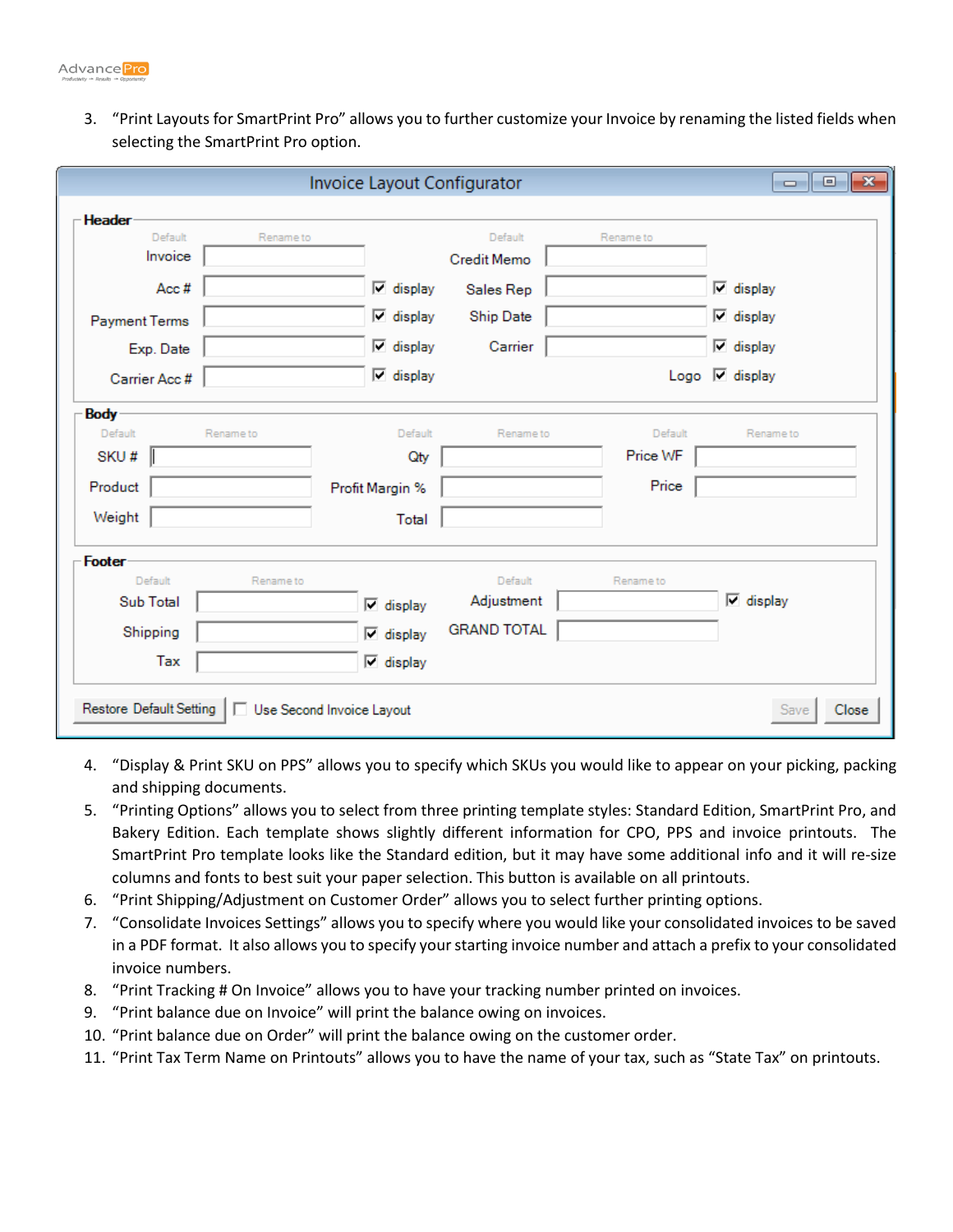

3. "Print Layouts for SmartPrint Pro" allows you to further customize your Invoice by renaming the listed fields when selecting the SmartPrint Pro option.

|                          |                           | Invoice Layout Configurator      |                    |           | $\begin{array}{c c c c c c} \hline \multicolumn{3}{c }{\mathbf{C}} & \multicolumn{3}{c }{\mathbf{C}} & \multicolumn{3}{c }{\mathbf{X}} \end{array}$ |
|--------------------------|---------------------------|----------------------------------|--------------------|-----------|-----------------------------------------------------------------------------------------------------------------------------------------------------|
| <b>Header</b><br>Default | Rename to                 |                                  | Default            | Rename to |                                                                                                                                                     |
| Invoice                  |                           |                                  | <b>Credit Memo</b> |           |                                                                                                                                                     |
| Acc#                     |                           | $\overline{\mathbf{v}}$ display  | Sales Rep          |           | $\nabla$ display                                                                                                                                    |
| Payment Terms            |                           | $\nabla$ display                 | Ship Date          |           | $\nabla$ display                                                                                                                                    |
| Exp. Date                |                           | $\overline{\phantom{a}}$ display | Carrier            |           | $\nabla$ display                                                                                                                                    |
| Carrier Acc #            |                           | $\overline{\vee}$ display        |                    |           | Logo $\overline{\phantom{a}}$ display                                                                                                               |
| <b>Body</b>              |                           |                                  |                    |           |                                                                                                                                                     |
| Default                  | Rename to                 | Default                          | Rename to          | Default   | Rename to                                                                                                                                           |
| SKU#                     |                           | Qty                              |                    | Price WF  |                                                                                                                                                     |
| Product                  |                           | Profit Margin %                  |                    | Price     |                                                                                                                                                     |
| Weight                   |                           | Total                            |                    |           |                                                                                                                                                     |
| Footer                   |                           |                                  |                    |           |                                                                                                                                                     |
| Default                  | Rename to                 |                                  | Default            | Rename to |                                                                                                                                                     |
| <b>Sub Total</b>         |                           | $\nabla$ display                 | Adjustment         |           | $\nabla$ display                                                                                                                                    |
| Shipping                 |                           | $\nabla$ display                 | <b>GRAND TOTAL</b> |           |                                                                                                                                                     |
| Tax                      |                           | $\nabla$ display                 |                    |           |                                                                                                                                                     |
| Restore Default Setting  | Use Second Invoice Layout |                                  |                    |           | Close<br><b>Save</b>                                                                                                                                |

- 4. "Display & Print SKU on PPS" allows you to specify which SKUs you would like to appear on your picking, packing and shipping documents.
- 5. "Printing Options" allows you to select from three printing template styles: Standard Edition, SmartPrint Pro, and Bakery Edition. Each template shows slightly different information for CPO, PPS and invoice printouts. The SmartPrint Pro template looks like the Standard edition, but it may have some additional info and it will re-size columns and fonts to best suit your paper selection. This button is available on all printouts.
- 6. "Print Shipping/Adjustment on Customer Order" allows you to select further printing options.
- 7. "Consolidate Invoices Settings" allows you to specify where you would like your consolidated invoices to be saved in a PDF format. It also allows you to specify your starting invoice number and attach a prefix to your consolidated invoice numbers.
- 8. "Print Tracking # On Invoice" allows you to have your tracking number printed on invoices.
- 9. "Print balance due on Invoice" will print the balance owing on invoices.
- 10. "Print balance due on Order" will print the balance owing on the customer order.
- 11. "Print Tax Term Name on Printouts" allows you to have the name of your tax, such as "State Tax" on printouts.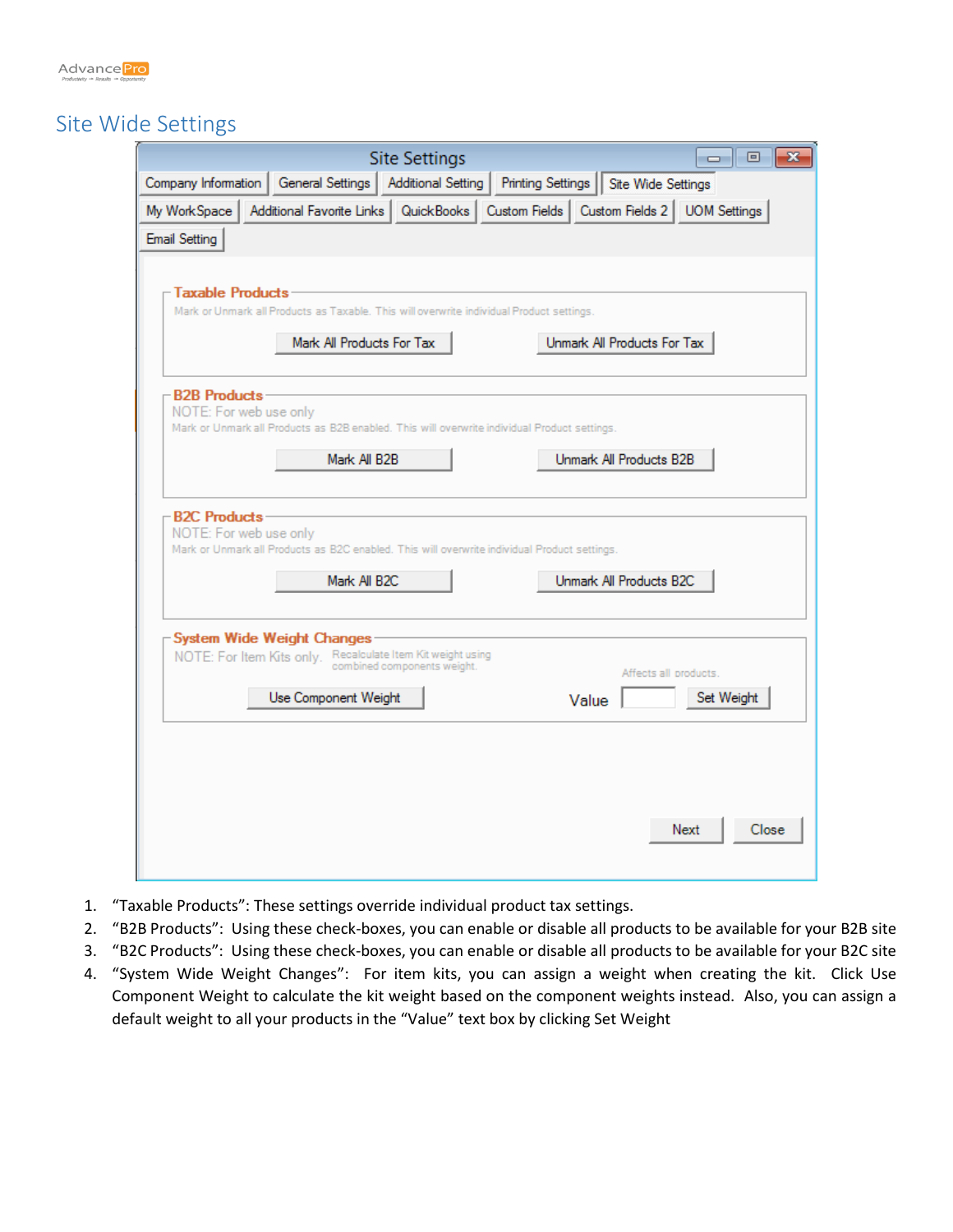

## Site Wide Settings

| <b>Site Settings</b><br>▣<br>-23<br>$\Box$                                                                                                          |
|-----------------------------------------------------------------------------------------------------------------------------------------------------|
| Printing Settings   Site Wide Settings<br>Company Information   General Settings   Additional Setting                                               |
| Additional Favorite Links   QuickBooks   Custom Fields   Custom Fields 2   UOM Settings  <br>My WorkSpace<br><b>Email Setting</b>                   |
| - Taxable Products -<br>Mark or Unmark all Products as Taxable. This will overwrite individual Product settings.                                    |
| Mark All Products For Tax<br>Unmark All Products For Tax                                                                                            |
| -B2B Products-<br>NOTE: For web use only<br>Mark or Unmark all Products as B2B enabled. This will overwrite individual Product settings.            |
| Mark All B2B<br>Unmark All Products B2B                                                                                                             |
| <b>B2C Products</b><br>NOTE: For web use only<br>Mark or Unmark all Products as B2C enabled. This will overwrite individual Product settings.       |
| Unmark All Products B2C<br>Mark All B2C                                                                                                             |
| - System Wide Weight Changes<br>NOTE: For Item Kits only. Recalculate Item Kit weight using<br>combined components weight.<br>Affects all products. |
| Set Weight<br>Use Component Weight<br>Value                                                                                                         |
|                                                                                                                                                     |
|                                                                                                                                                     |
| Next<br>Close                                                                                                                                       |

- 1. "Taxable Products": These settings override individual product tax settings.
- 2. "B2B Products": Using these check-boxes, you can enable or disable all products to be available for your B2B site
- 3. "B2C Products": Using these check-boxes, you can enable or disable all products to be available for your B2C site
- 4. "System Wide Weight Changes": For item kits, you can assign a weight when creating the kit. Click Use Component Weight to calculate the kit weight based on the component weights instead. Also, you can assign a default weight to all your products in the "Value" text box by clicking Set Weight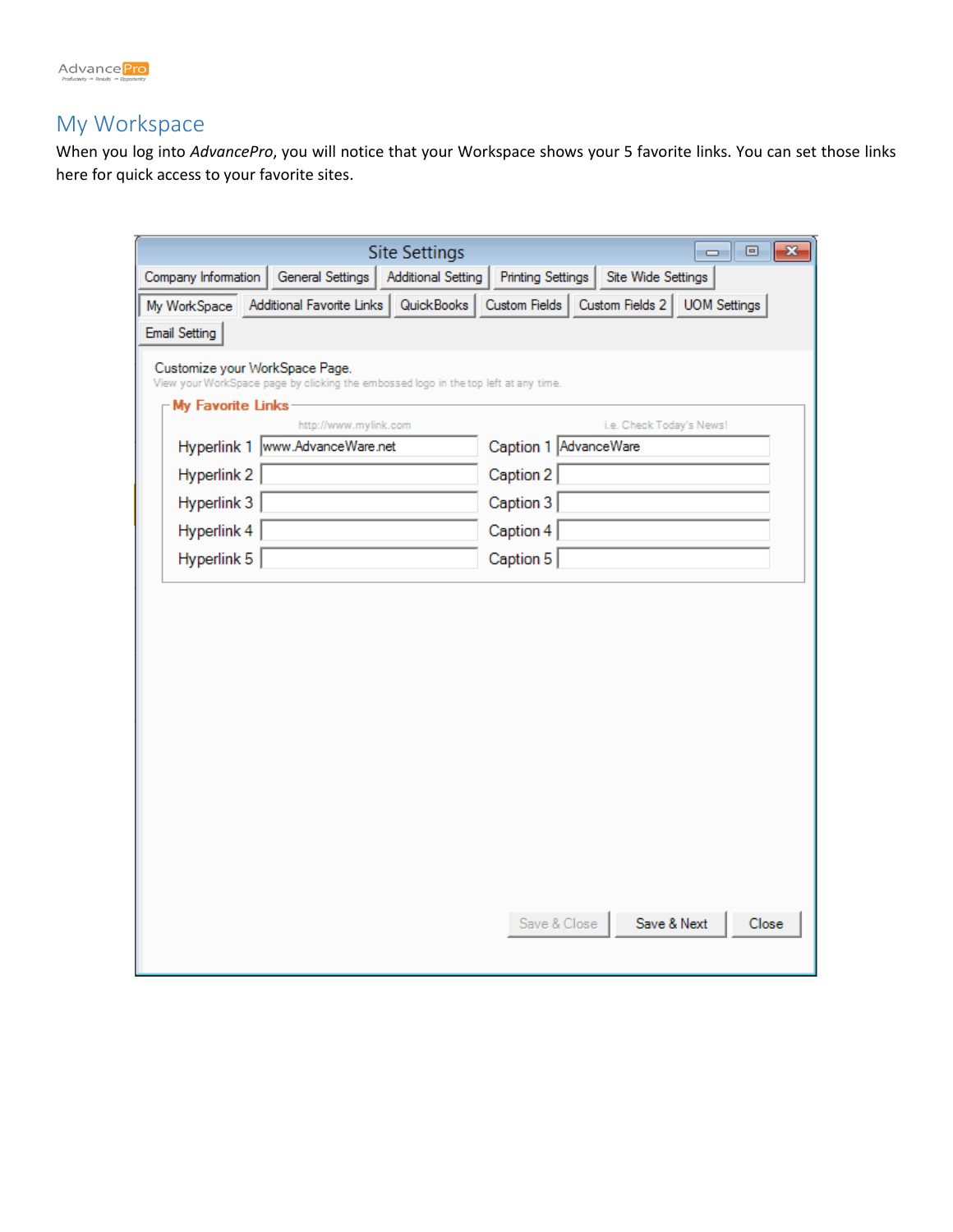

## My Workspace

When you log into *AdvancePro*, you will notice that your Workspace shows your 5 favorite links. You can set those links here for quick access to your favorite sites.

|                                | <b>Site Settings</b>                                                                |                           |                          |                          | $\overline{\phantom{a}}$ $\overline{\phantom{a}}$<br>-23 |
|--------------------------------|-------------------------------------------------------------------------------------|---------------------------|--------------------------|--------------------------|----------------------------------------------------------|
| Company Information            | General Settings                                                                    | <b>Additional Setting</b> | <b>Printing Settings</b> | Site Wide Settings       |                                                          |
| My WorkSpace                   | Additional Favorite Links   QuickBooks                                              |                           |                          |                          | Custom Fields   Custom Fields 2   UOM Settings           |
| Email Setting                  |                                                                                     |                           |                          |                          |                                                          |
| Customize your WorkSpace Page. | View your WorkSpace page by clicking the embossed logo in the top left at any time. |                           |                          |                          |                                                          |
| <b>My Favorite Links</b>       |                                                                                     |                           |                          |                          |                                                          |
|                                | http://www.mylink.com                                                               |                           |                          | i.e. Check Today's News! |                                                          |
|                                | Hyperlink 1  www.AdvanceWare.net                                                    |                           | Caption 1 AdvanceWare    |                          |                                                          |
| Hyperlink 2                    |                                                                                     |                           | Caption 2                |                          |                                                          |
| Hyperlink 3                    |                                                                                     |                           | Caption 3                |                          |                                                          |
| Hyperlink 4                    |                                                                                     |                           | Caption 4                |                          |                                                          |
| Hyperlink 5                    |                                                                                     |                           | Caption 5                |                          |                                                          |
|                                |                                                                                     |                           |                          |                          |                                                          |
|                                |                                                                                     |                           |                          |                          |                                                          |
|                                |                                                                                     |                           |                          |                          |                                                          |
|                                |                                                                                     |                           |                          |                          |                                                          |
|                                |                                                                                     |                           |                          |                          |                                                          |
|                                |                                                                                     |                           |                          |                          |                                                          |
|                                |                                                                                     |                           |                          |                          |                                                          |
|                                |                                                                                     |                           |                          |                          |                                                          |
|                                |                                                                                     |                           |                          |                          |                                                          |
|                                |                                                                                     |                           |                          |                          |                                                          |
|                                |                                                                                     |                           |                          |                          |                                                          |
|                                |                                                                                     |                           |                          |                          |                                                          |
|                                |                                                                                     |                           | Save & Close             | Save & Next              | Close                                                    |
|                                |                                                                                     |                           |                          |                          |                                                          |
|                                |                                                                                     |                           |                          |                          |                                                          |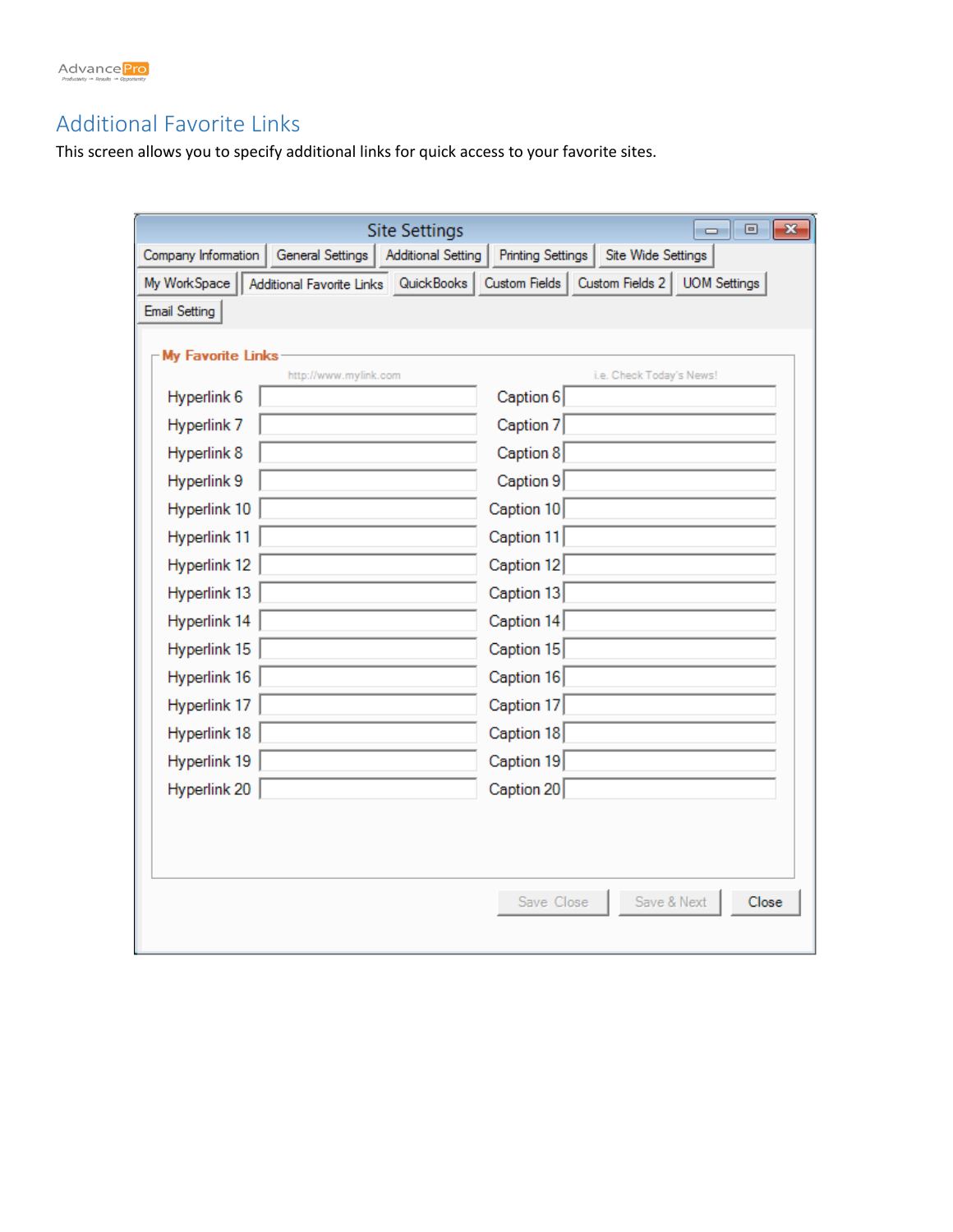

## Additional Favorite Links

This screen allows you to specify additional links for quick access to your favorite sites.

|                                                                        | <b>Site Settings</b><br>$\Box$<br>$\mathbf{x}$<br>$\Box$                    |
|------------------------------------------------------------------------|-----------------------------------------------------------------------------|
| Company Information<br>General Settings                                | <b>Additional Setting</b><br><b>Printing Settings</b><br>Site Wide Settings |
| My WorkSpace<br>Additional Favorite Links   QuickBooks   Custom Fields | Custom Fields 2 UOM Settings                                                |
| <b>Email Setting</b>                                                   |                                                                             |
|                                                                        |                                                                             |
| My Favorite Links<br>http://www.mylink.com                             | i.e. Check Today's News!                                                    |
| Hyperlink 6                                                            | Caption 6                                                                   |
| Hyperlink <sub>7</sub>                                                 | Caption 7                                                                   |
| Hyperlink 8                                                            | Caption 8                                                                   |
| Hyperlink 9                                                            | Caption 9                                                                   |
| Hyperlink 10                                                           | Caption 10                                                                  |
| Hyperlink 11                                                           | Caption 11                                                                  |
| Hyperlink 12                                                           | Caption 12                                                                  |
| Hyperlink 13                                                           | Caption 13                                                                  |
| Hyperlink 14                                                           | Caption 14                                                                  |
| Hyperlink 15                                                           | Caption 15                                                                  |
| Hyperlink 16                                                           | Caption 16                                                                  |
| Hyperlink 17                                                           | Caption 17                                                                  |
| Hyperlink 18                                                           | Caption 18                                                                  |
| Hyperlink 19                                                           | Caption 19                                                                  |
| Hyperlink 20                                                           | Caption 20                                                                  |
|                                                                        |                                                                             |
|                                                                        |                                                                             |
|                                                                        |                                                                             |
|                                                                        | Save & Next<br>Save Close<br>Close                                          |
|                                                                        |                                                                             |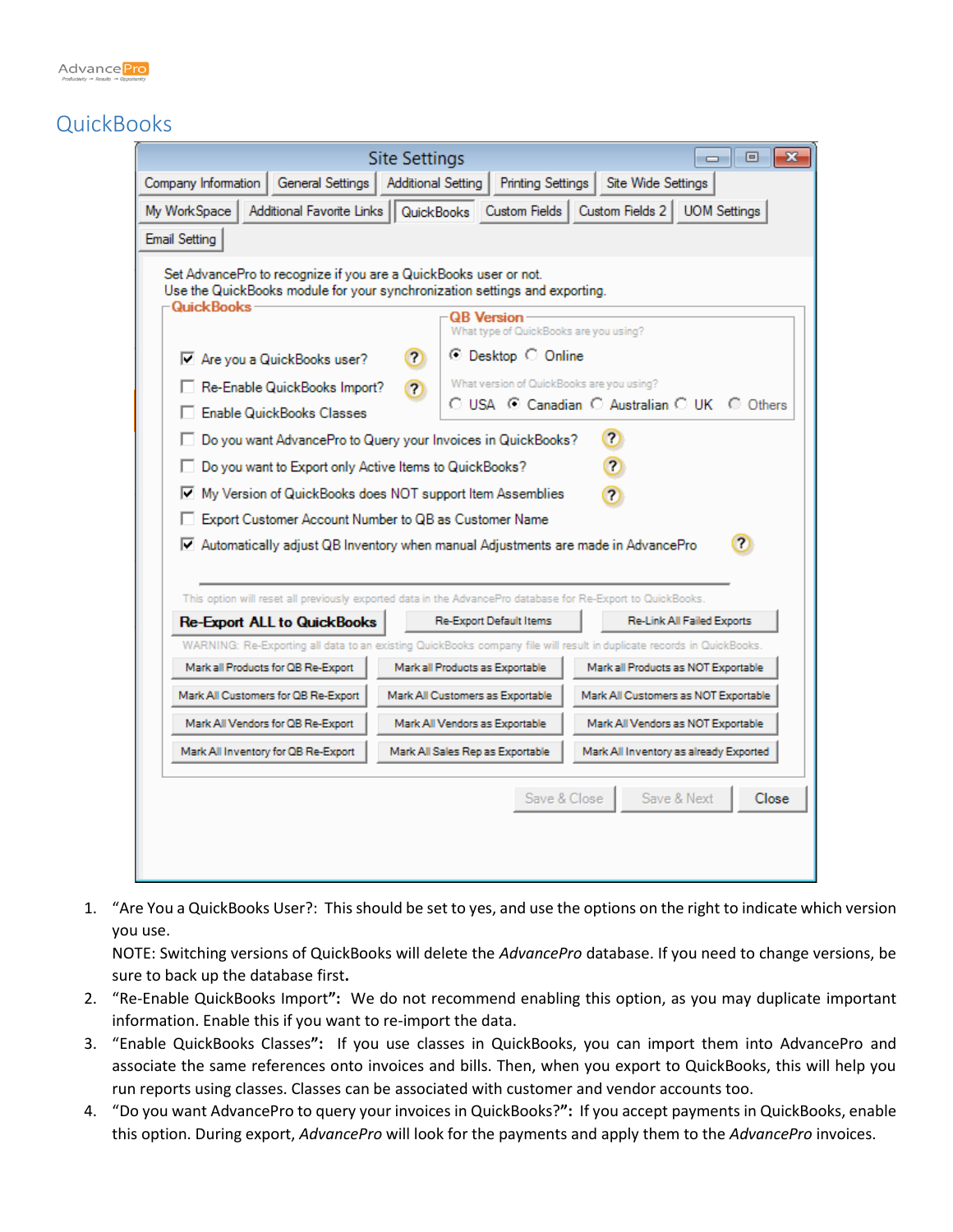

## **QuickBooks**

|                                                                                                                                                                                                                                                                                                                                                                                                                                                                                                                                                                                                                                                                                                                                                                                                                                                                                                             | <b>Site Settings</b>                                                             | ▣<br>x<br>$\Box$                                                                                                      |  |  |  |  |  |  |
|-------------------------------------------------------------------------------------------------------------------------------------------------------------------------------------------------------------------------------------------------------------------------------------------------------------------------------------------------------------------------------------------------------------------------------------------------------------------------------------------------------------------------------------------------------------------------------------------------------------------------------------------------------------------------------------------------------------------------------------------------------------------------------------------------------------------------------------------------------------------------------------------------------------|----------------------------------------------------------------------------------|-----------------------------------------------------------------------------------------------------------------------|--|--|--|--|--|--|
| Company Information                                                                                                                                                                                                                                                                                                                                                                                                                                                                                                                                                                                                                                                                                                                                                                                                                                                                                         | Site Wide Settings<br>General Settings   Additional Setting<br>Printing Settings |                                                                                                                       |  |  |  |  |  |  |
| Additional Favorite Links   QuickBooks   Custom Fields   Custom Fields 2   UOM Settings<br>My WorkSpace                                                                                                                                                                                                                                                                                                                                                                                                                                                                                                                                                                                                                                                                                                                                                                                                     |                                                                                  |                                                                                                                       |  |  |  |  |  |  |
| <b>Email Setting</b>                                                                                                                                                                                                                                                                                                                                                                                                                                                                                                                                                                                                                                                                                                                                                                                                                                                                                        |                                                                                  |                                                                                                                       |  |  |  |  |  |  |
| Set AdvancePro to recognize if you are a QuickBooks user or not.<br>Use the QuickBooks module for your synchronization settings and exporting.<br>-QuickBooks <sup>.</sup><br><b>QB</b> Version<br>What type of QuickBooks are you using?<br>⊙ Desktop C Online<br><b>?</b><br>Are you a QuickBooks user?<br>What version of QuickBooks are you using?<br>Re-Enable QuickBooks Import?<br>$\overline{a}$<br>C USA C Canadian C Australian C UK C Others<br><b>Enable QuickBooks Classes</b><br>$\overline{2}$<br>Do you want AdvancePro to Query your Invoices in QuickBooks?<br>$\overline{\mathbf{r}}$<br>Do you want to Export only Active Items to QuickBooks?<br>My Version of QuickBooks does NOT support Item Assemblies<br> ⊽<br>?<br>Export Customer Account Number to QB as Customer Name<br>$\overline{r}$<br>M Automatically adjust QB Inventory when manual Adjustments are made in AdvancePro |                                                                                  |                                                                                                                       |  |  |  |  |  |  |
| This option will reset all previously exported data in the AdvancePro database for Re-Export to QuickBooks.                                                                                                                                                                                                                                                                                                                                                                                                                                                                                                                                                                                                                                                                                                                                                                                                 |                                                                                  |                                                                                                                       |  |  |  |  |  |  |
| <b>Re-Export ALL to QuickBooks</b>                                                                                                                                                                                                                                                                                                                                                                                                                                                                                                                                                                                                                                                                                                                                                                                                                                                                          | Re-Export Default Items                                                          | <b>Re-Link All Failed Exports</b>                                                                                     |  |  |  |  |  |  |
|                                                                                                                                                                                                                                                                                                                                                                                                                                                                                                                                                                                                                                                                                                                                                                                                                                                                                                             |                                                                                  | WARNING: Re-Exporting all data to an existing QuickBooks company file will result in duplicate records in QuickBooks. |  |  |  |  |  |  |
| Mark all Products for QB Re-Export                                                                                                                                                                                                                                                                                                                                                                                                                                                                                                                                                                                                                                                                                                                                                                                                                                                                          | Mark all Products as Exportable                                                  | Mark all Products as NOT Exportable                                                                                   |  |  |  |  |  |  |
| Mark All Customers for QB Re-Export                                                                                                                                                                                                                                                                                                                                                                                                                                                                                                                                                                                                                                                                                                                                                                                                                                                                         | Mark All Customers as Exportable                                                 | Mark All Customers as NOT Exportable                                                                                  |  |  |  |  |  |  |
| Mark All Vendors for QB Re-Export<br>Mark All Vendors as Exportable<br>Mark All Vendors as NOT Exportable                                                                                                                                                                                                                                                                                                                                                                                                                                                                                                                                                                                                                                                                                                                                                                                                   |                                                                                  |                                                                                                                       |  |  |  |  |  |  |
| Mark All Inventory for QB Re-Export<br>Mark All Sales Rep as Exportable<br>Mark All Inventory as already Exported                                                                                                                                                                                                                                                                                                                                                                                                                                                                                                                                                                                                                                                                                                                                                                                           |                                                                                  |                                                                                                                       |  |  |  |  |  |  |
| Save & Close<br>Save & Next<br>Close                                                                                                                                                                                                                                                                                                                                                                                                                                                                                                                                                                                                                                                                                                                                                                                                                                                                        |                                                                                  |                                                                                                                       |  |  |  |  |  |  |

1. "Are You a QuickBooks User?: This should be set to yes, and use the options on the right to indicate which version you use.

NOTE: Switching versions of QuickBooks will delete the *AdvancePro* database. If you need to change versions, be sure to back up the database first**.**

- 2. "Re-Enable QuickBooks Import**":** We do not recommend enabling this option, as you may duplicate important information. Enable this if you want to re-import the data.
- 3. "Enable QuickBooks Classes**":** If you use classes in QuickBooks, you can import them into AdvancePro and associate the same references onto invoices and bills. Then, when you export to QuickBooks, this will help you run reports using classes. Classes can be associated with customer and vendor accounts too.
- 4. "Do you want AdvancePro to query your invoices in QuickBooks?**":** If you accept payments in QuickBooks, enable this option. During export, *AdvancePro* will look for the payments and apply them to the *AdvancePro* invoices.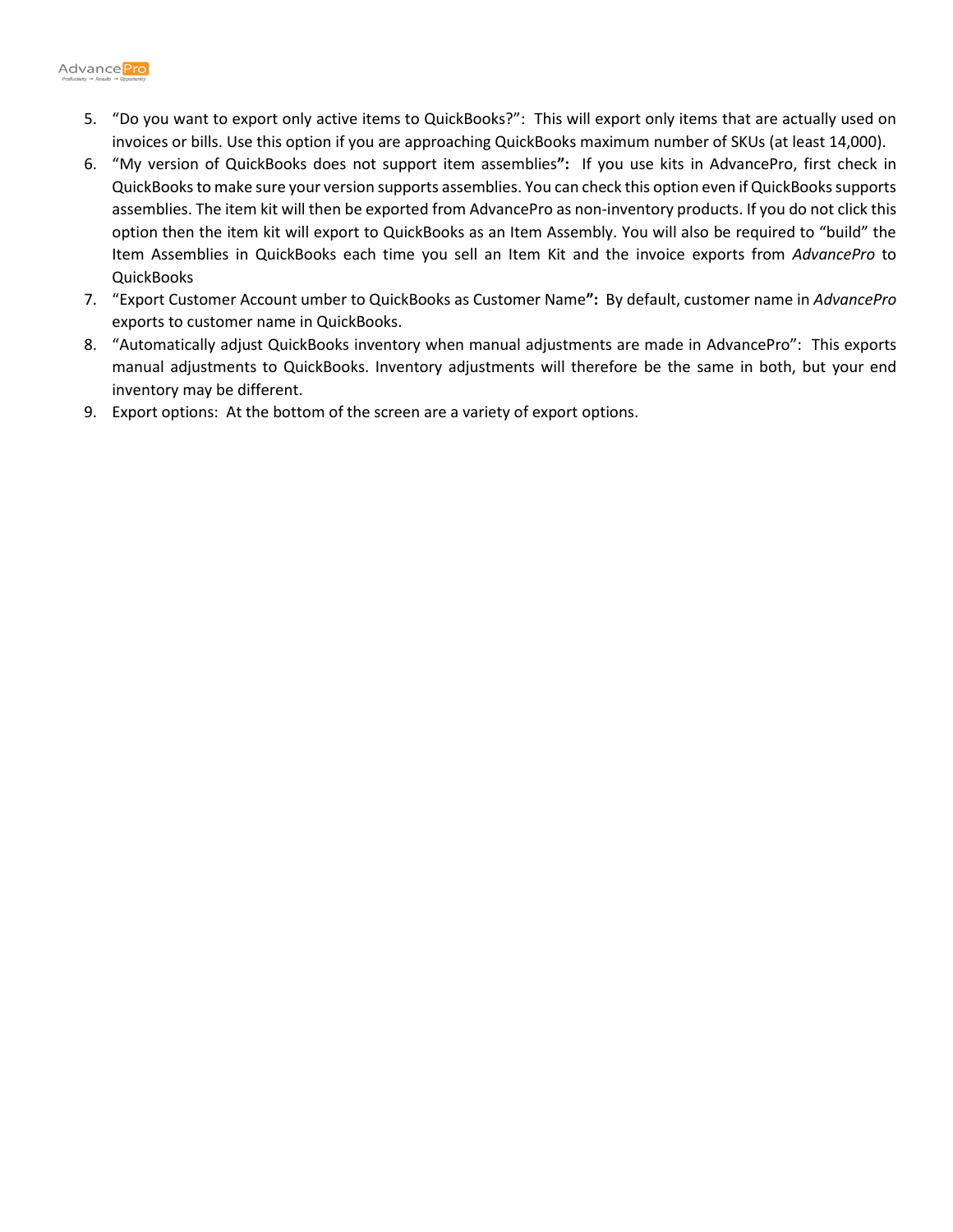

- 5. "Do you want to export only active items to QuickBooks?":This will export only items that are actually used on invoices or bills. Use this option if you are approaching QuickBooks maximum number of SKUs (at least 14,000).
- 6. "My version of QuickBooks does not support item assemblies**":** If you use kits in AdvancePro, first check in QuickBooks to make sure your version supports assemblies. You can check this option even if QuickBooks supports assemblies. The item kit will then be exported from AdvancePro as non-inventory products. If you do not click this option then the item kit will export to QuickBooks as an Item Assembly. You will also be required to "build" the Item Assemblies in QuickBooks each time you sell an Item Kit and the invoice exports from *AdvancePro* to **QuickBooks**
- 7. "Export Customer Account umber to QuickBooks as Customer Name**":** By default, customer name in *AdvancePro*  exports to customer name in QuickBooks.
- 8. "Automatically adjust QuickBooks inventory when manual adjustments are made in AdvancePro":This exports manual adjustments to QuickBooks. Inventory adjustments will therefore be the same in both, but your end inventory may be different.
- 9. Export options: At the bottom of the screen are a variety of export options.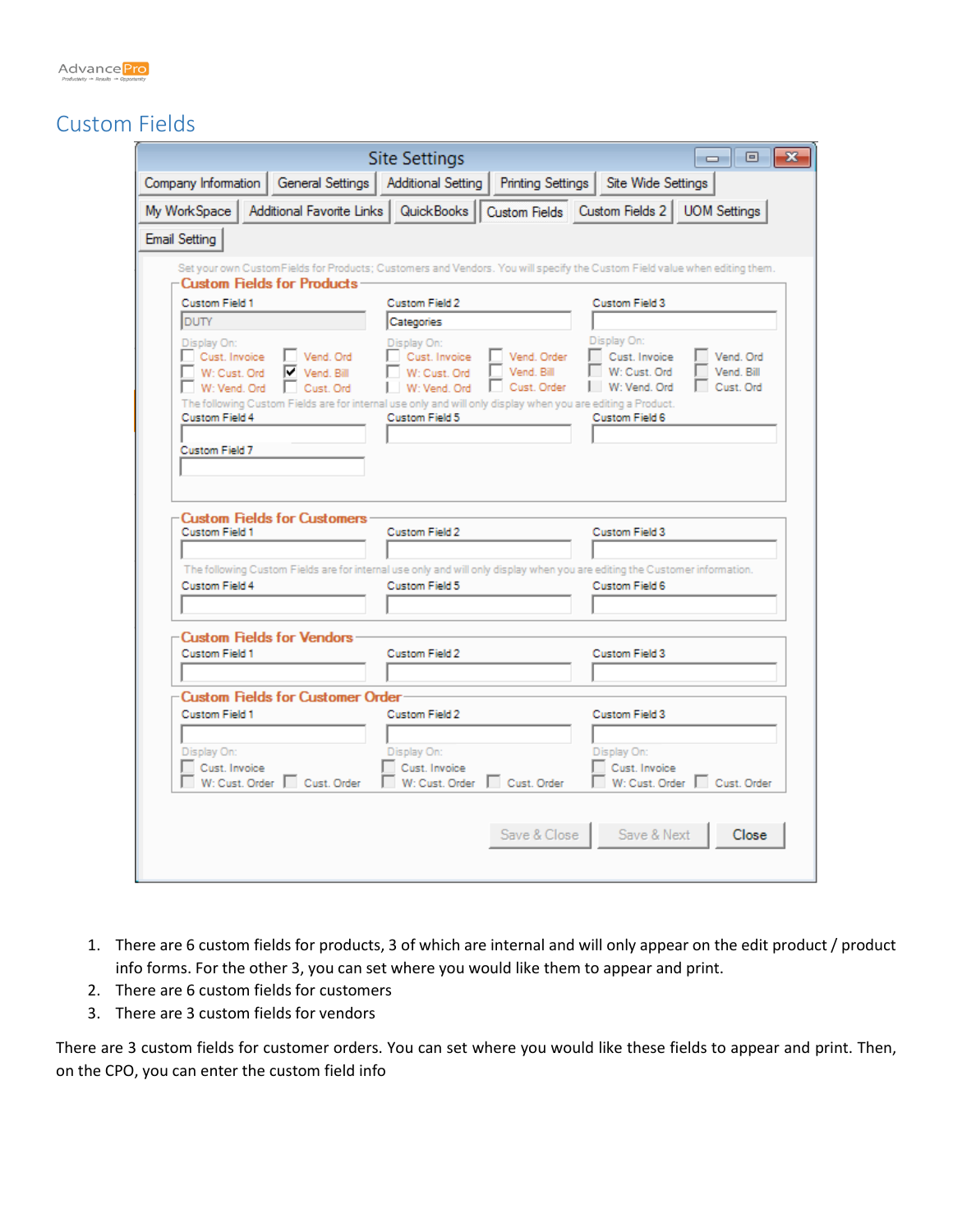

## Custom Fields

|                                         |                         | <b>Site Settings</b>                                                                                        | $\mathbf{x}$<br>▣<br>$\Box$                                                                                                |
|-----------------------------------------|-------------------------|-------------------------------------------------------------------------------------------------------------|----------------------------------------------------------------------------------------------------------------------------|
| Company Information                     |                         | <b>Printing Settings</b><br>General Settings   Additional Setting                                           | Site Wide Settings                                                                                                         |
| My WorkSpace                            |                         |                                                                                                             | Additional Favorite Links   QuickBooks   Custom Fields   Custom Fields 2   UOM Settings                                    |
| <b>Email Setting</b>                    |                         |                                                                                                             |                                                                                                                            |
|                                         |                         |                                                                                                             | Set your own CustomFields for Products; Customers and Vendors. You will specify the Custom Field value when editing them.  |
| <b>Custom Fields for Products</b>       |                         |                                                                                                             |                                                                                                                            |
| Custom Field 1                          |                         | Custom Field 2                                                                                              | Custom Field 3                                                                                                             |
| <b>DUTY</b>                             |                         | Categories                                                                                                  |                                                                                                                            |
| Display On:                             |                         | Display On:                                                                                                 | Display On:                                                                                                                |
| Cust. Invoice<br>W: Cust. Ord           | Vend, Ord<br>Vend, Bill | Cust. Invoice<br>Vend. Order<br>W: Cust. Ord<br>Vend, Bill                                                  | Cust. Invoice<br>Vend, Ord.<br>W: Cust. Ord<br>Vend, Bill                                                                  |
| W: Vend. Ord                            | Cust, Ord               | W: Vend, Ord<br>Cust. Order                                                                                 | W: Vend. Ord<br>Cust, Ord                                                                                                  |
|                                         |                         | The following Custom Fields are for internal use only and will only display when you are editing a Product. |                                                                                                                            |
| Custom Field 4                          |                         | Custom Field 5                                                                                              | Custom Field 6                                                                                                             |
|                                         |                         |                                                                                                             |                                                                                                                            |
| Custom Field 7                          |                         |                                                                                                             |                                                                                                                            |
|                                         |                         |                                                                                                             |                                                                                                                            |
|                                         |                         |                                                                                                             |                                                                                                                            |
| <b>Custom Fields for Customers</b>      |                         |                                                                                                             |                                                                                                                            |
| Custom Field 1                          |                         | Custom Field 2                                                                                              | Custom Field 3                                                                                                             |
|                                         |                         |                                                                                                             |                                                                                                                            |
|                                         |                         |                                                                                                             | The following Custom Fields are for internal use only and will only display when you are editing the Customer information. |
| Custom Field 4                          |                         | Custom Field 5                                                                                              | Custom Field 6                                                                                                             |
|                                         |                         |                                                                                                             |                                                                                                                            |
|                                         |                         |                                                                                                             |                                                                                                                            |
| <b>Custom Fields for Vendors</b>        |                         |                                                                                                             |                                                                                                                            |
| Custom Field 1                          |                         | Custom Field 2                                                                                              | Custom Field 3                                                                                                             |
|                                         |                         |                                                                                                             |                                                                                                                            |
| <b>Custom Fields for Customer Order</b> |                         |                                                                                                             |                                                                                                                            |
| Custom Field 1                          |                         | Custom Field 2                                                                                              | Custom Field 3                                                                                                             |
|                                         |                         |                                                                                                             |                                                                                                                            |
| Display On:                             |                         | Display On:                                                                                                 | Display On:                                                                                                                |
| Cust, Invoice                           |                         | Cust. Invoice                                                                                               | Cust, Invoice                                                                                                              |
| W: Cust. Order Cust. Order              |                         | W: Cust. Order<br>Cust, Order                                                                               | W: Cust. Order  <br>Cust. Order                                                                                            |
|                                         |                         |                                                                                                             |                                                                                                                            |
|                                         |                         |                                                                                                             |                                                                                                                            |
|                                         |                         | Save & Close                                                                                                | Save & Next<br>Close                                                                                                       |
|                                         |                         |                                                                                                             |                                                                                                                            |
|                                         |                         |                                                                                                             |                                                                                                                            |

- 1. There are 6 custom fields for products, 3 of which are internal and will only appear on the edit product / product info forms. For the other 3, you can set where you would like them to appear and print.
- 2. There are 6 custom fields for customers
- 3. There are 3 custom fields for vendors

There are 3 custom fields for customer orders. You can set where you would like these fields to appear and print. Then, on the CPO, you can enter the custom field info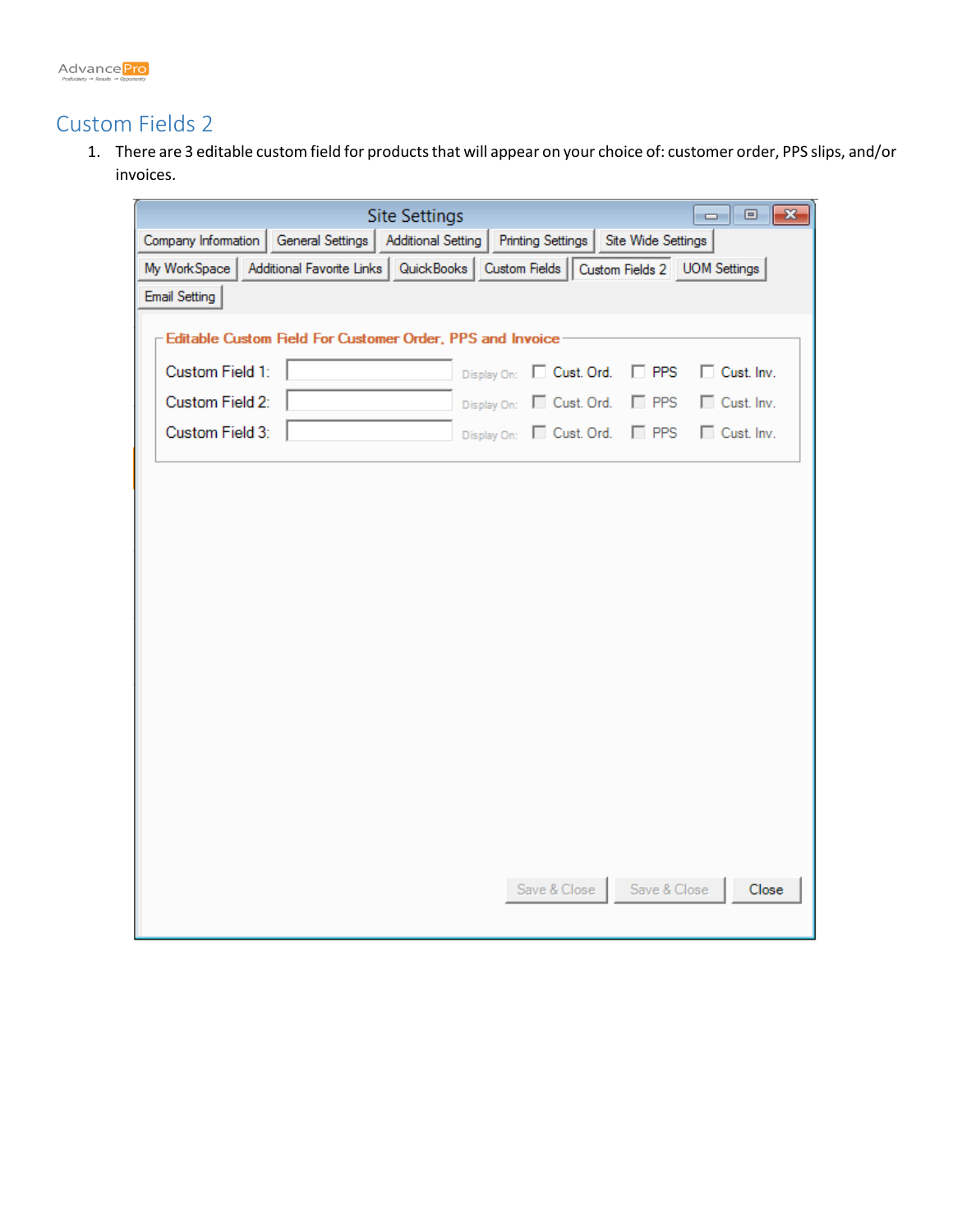

## Custom Fields 2

1. There are 3 editable custom field for products that will appear on your choice of: customer order, PPS slips, and/or invoices.

| <b>Site Settings</b>                                             | $\mathbf{x}$<br>$\Box$ e                                                                |
|------------------------------------------------------------------|-----------------------------------------------------------------------------------------|
| Company Information   General Settings   Additional Setting      | Printing Settings   Site Wide Settings                                                  |
| My WorkSpace                                                     | Additional Favorite Links   QuickBooks   Custom Fields   Custom Fields 2   UOM Settings |
| <b>Email Setting</b>                                             |                                                                                         |
| <b>Editable Custom Field For Customer Order, PPS and Invoice</b> |                                                                                         |
| Custom Field 1:                                                  | Display On:   Cust. Ord.<br>□ Cust. Inv.<br>$\Box$ PPS                                  |
| Custom Field 2:                                                  | Display On: Cust. Ord. PPS<br>□ Cust. Inv.                                              |
| Custom Field 3:                                                  | Display On: Cust. Ord. FPPS<br>□ Cust. Inv.                                             |
|                                                                  |                                                                                         |
|                                                                  |                                                                                         |
|                                                                  |                                                                                         |
|                                                                  |                                                                                         |
|                                                                  |                                                                                         |
|                                                                  |                                                                                         |
|                                                                  |                                                                                         |
|                                                                  |                                                                                         |
|                                                                  |                                                                                         |
|                                                                  |                                                                                         |
|                                                                  |                                                                                         |
|                                                                  |                                                                                         |
|                                                                  |                                                                                         |
|                                                                  |                                                                                         |
|                                                                  | Save & Close Save & Close<br>Close                                                      |
|                                                                  |                                                                                         |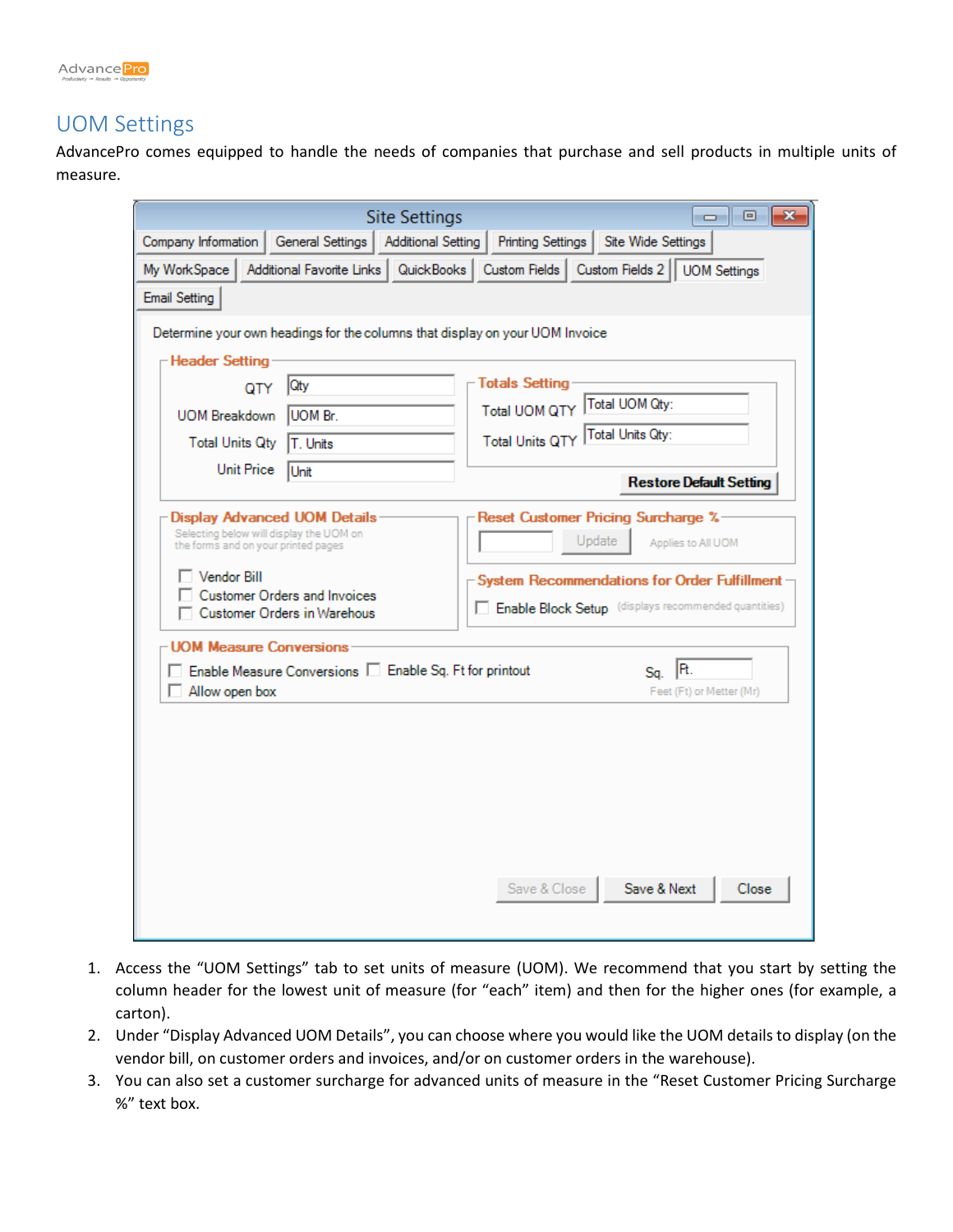

## UOM Settings

AdvancePro comes equipped to handle the needs of companies that purchase and sell products in multiple units of measure.

|                                                           |                                                                                                                                                      | <b>Site Settings</b>      |                          | $\mathbf{x}$<br><u>a 19</u>                                                                                                                                                 |
|-----------------------------------------------------------|------------------------------------------------------------------------------------------------------------------------------------------------------|---------------------------|--------------------------|-----------------------------------------------------------------------------------------------------------------------------------------------------------------------------|
| Company Information                                       | General Settings                                                                                                                                     | <b>Additional Setting</b> | <b>Printing Settings</b> | Site Wide Settings                                                                                                                                                          |
| My WorkSpace                                              | Additional Favorite Links   QuickBooks                                                                                                               |                           | Custom Fields            | Custom Fields 2<br><b>UOM Settings</b>                                                                                                                                      |
| <b>Email Setting</b>                                      |                                                                                                                                                      |                           |                          |                                                                                                                                                                             |
|                                                           | Determine your own headings for the columns that display on your UOM Invoice                                                                         |                           |                          |                                                                                                                                                                             |
| -Header Setting                                           |                                                                                                                                                      |                           |                          |                                                                                                                                                                             |
| QTY                                                       | Qty                                                                                                                                                  |                           | <b>Totals Setting</b>    |                                                                                                                                                                             |
| <b>UOM Breakdown</b>                                      | <b>UOM Br.</b>                                                                                                                                       |                           | <b>Total UOM QTY</b>     | Total UOM Qty:                                                                                                                                                              |
| <b>Total Units Qty</b>                                    | T. Units                                                                                                                                             |                           | <b>Total Units QTY</b>   | Total Units Qty:                                                                                                                                                            |
| <b>Unit Price</b>                                         | Unit                                                                                                                                                 |                           |                          | <b>Restore Default Setting</b>                                                                                                                                              |
| the forms and on your printed pages<br><b>Vendor Bill</b> | <b>Display Advanced UOM Details</b><br>Selecting below will display the UOM on<br><b>Customer Orders and Invoices</b><br>Customer Orders in Warehous |                           |                          | Reset Customer Pricing Surcharge %-<br>Update<br>Applies to All UOM<br>System Recommendations for Order Fulfillment<br>Enable Block Setup (displays recommended quantities) |
| - UOM Measure Conversions<br>Allow open box               | Enable Measure Conversions   Enable Sq. Ft for printout                                                                                              |                           |                          | IR.<br>Sa.<br>Feet (Ft) or Metter (Mr)                                                                                                                                      |
|                                                           |                                                                                                                                                      |                           | Save & Close             | Save & Next<br>Close                                                                                                                                                        |

- 1. Access the "UOM Settings" tab to set units of measure (UOM). We recommend that you start by setting the column header for the lowest unit of measure (for "each" item) and then for the higher ones (for example, a carton).
- 2. Under "Display Advanced UOM Details", you can choose where you would like the UOM details to display (on the vendor bill, on customer orders and invoices, and/or on customer orders in the warehouse).
- 3. You can also set a customer surcharge for advanced units of measure in the "Reset Customer Pricing Surcharge %" text box.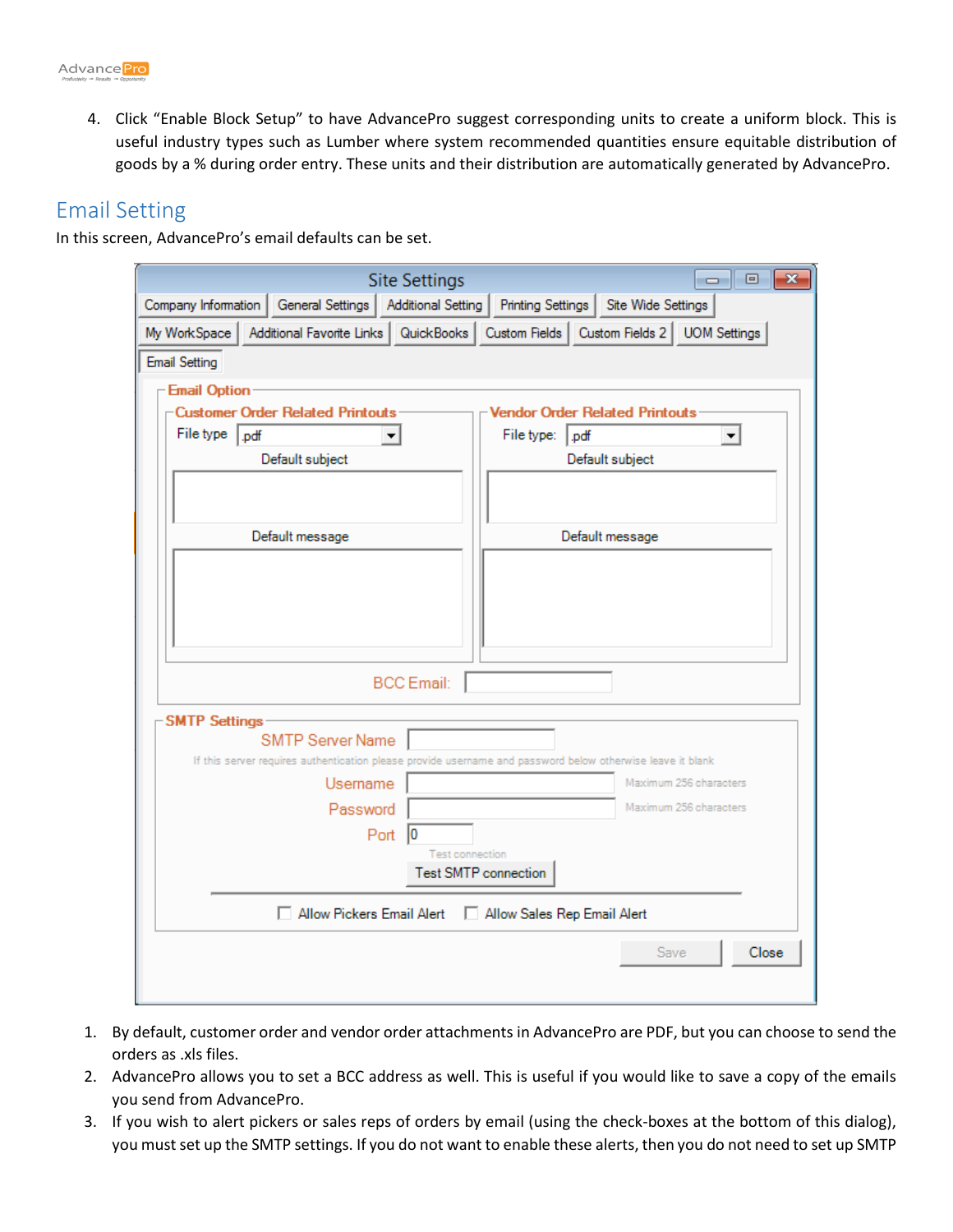4. Click "Enable Block Setup" to have AdvancePro suggest corresponding units to create a uniform block. This is useful industry types such as Lumber where system recommended quantities ensure equitable distribution of goods by a % during order entry. These units and their distribution are automatically generated by AdvancePro.

## Email Setting

In this screen, AdvancePro's email defaults can be set.

| <b>Site Settings</b>                                        | $\mathbf{x}$<br>$\Box$ 0                                                                                   |
|-------------------------------------------------------------|------------------------------------------------------------------------------------------------------------|
| Company Information   General Settings   Additional Setting | Site Wide Settings<br>Printing Settings                                                                    |
| My WorkSpace                                                | Additional Favorite Links   QuickBooks   Custom Fields   Custom Fields 2   UOM Settings                    |
| <b>Email Setting</b>                                        |                                                                                                            |
| - Email Option                                              |                                                                                                            |
| Customer Order Related Printouts                            | <b>Vendor Order Related Printouts</b>                                                                      |
| File type   pdf                                             | File type:<br>$ .$ pdf                                                                                     |
| Default subject                                             | Default subject                                                                                            |
|                                                             |                                                                                                            |
|                                                             |                                                                                                            |
| Default message                                             | Default message                                                                                            |
|                                                             |                                                                                                            |
|                                                             |                                                                                                            |
|                                                             |                                                                                                            |
|                                                             |                                                                                                            |
| <b>BCC</b> Email:                                           |                                                                                                            |
| <b>SMTP Settings</b>                                        |                                                                                                            |
| <b>SMTP Server Name</b>                                     |                                                                                                            |
|                                                             | If this server requires authentication please provide username and password below otherwise leave it blank |
| Username                                                    | Maximum 256 characters<br>Maximum 256 characters                                                           |
| Password                                                    |                                                                                                            |
| Port<br>10<br><b>Test connection</b>                        |                                                                                                            |
| <b>Test SMTP connection</b>                                 |                                                                                                            |
| Allow Pickers Email Alert                                   |                                                                                                            |
| Allow Sales Rep Email Alert                                 |                                                                                                            |
|                                                             | Close<br><b>Save</b>                                                                                       |
|                                                             |                                                                                                            |
|                                                             |                                                                                                            |

- 1. By default, customer order and vendor order attachments in AdvancePro are PDF, but you can choose to send the orders as .xls files.
- 2. AdvancePro allows you to set a BCC address as well. This is useful if you would like to save a copy of the emails you send from AdvancePro.
- 3. If you wish to alert pickers or sales reps of orders by email (using the check-boxes at the bottom of this dialog), you must set up the SMTP settings. If you do not want to enable these alerts, then you do not need to set up SMTP